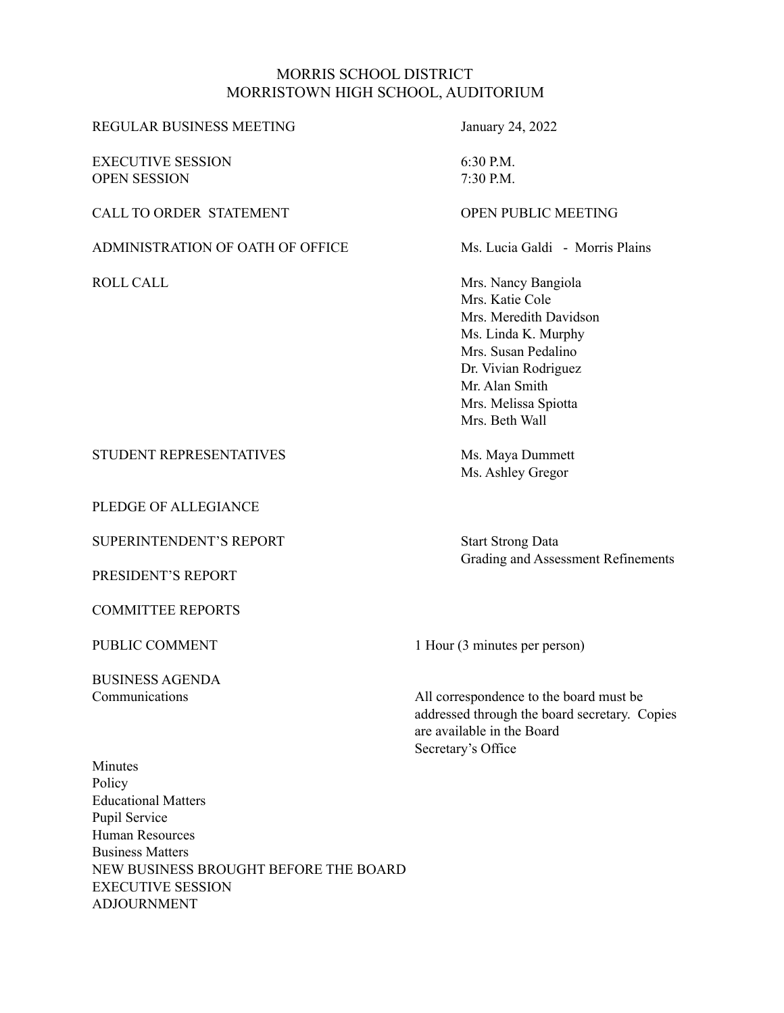### MORRIS SCHOOL DISTRICT MORRISTOWN HIGH SCHOOL, AUDITORIUM

| <b>REGULAR BUSINESS MEETING</b>                                                                                                                                | January 24, 2022                                                                                                                                                                                   |
|----------------------------------------------------------------------------------------------------------------------------------------------------------------|----------------------------------------------------------------------------------------------------------------------------------------------------------------------------------------------------|
| <b>EXECUTIVE SESSION</b><br><b>OPEN SESSION</b>                                                                                                                | 6:30 P.M.<br>7:30 P.M.                                                                                                                                                                             |
| <b>CALL TO ORDER STATEMENT</b>                                                                                                                                 | <b>OPEN PUBLIC MEETING</b>                                                                                                                                                                         |
| ADMINISTRATION OF OATH OF OFFICE                                                                                                                               | Ms. Lucia Galdi - Morris Plains                                                                                                                                                                    |
| <b>ROLL CALL</b>                                                                                                                                               | Mrs. Nancy Bangiola<br>Mrs. Katie Cole<br>Mrs. Meredith Davidson<br>Ms. Linda K. Murphy<br>Mrs. Susan Pedalino<br>Dr. Vivian Rodriguez<br>Mr. Alan Smith<br>Mrs. Melissa Spiotta<br>Mrs. Beth Wall |
| STUDENT REPRESENTATIVES                                                                                                                                        | Ms. Maya Dummett<br>Ms. Ashley Gregor                                                                                                                                                              |
| PLEDGE OF ALLEGIANCE                                                                                                                                           |                                                                                                                                                                                                    |
| <b>SUPERINTENDENT'S REPORT</b><br>PRESIDENT'S REPORT                                                                                                           | <b>Start Strong Data</b><br><b>Grading and Assessment Refinements</b>                                                                                                                              |
| <b>COMMITTEE REPORTS</b>                                                                                                                                       |                                                                                                                                                                                                    |
| PUBLIC COMMENT                                                                                                                                                 | 1 Hour (3 minutes per person)                                                                                                                                                                      |
| <b>BUSINESS AGENDA</b><br>Communications                                                                                                                       | All correspondence to the board must be<br>addressed through the board secretary. Copies<br>are available in the Board<br>Secretary's Office                                                       |
| Minutes<br>Policy<br><b>Educational Matters</b><br>Pupil Service<br><b>Human Resources</b><br><b>Business Matters</b><br>NEW BUSINESS BROUGHT BEFORE THE BOARD |                                                                                                                                                                                                    |

EXECUTIVE SESSION ADJOURNMENT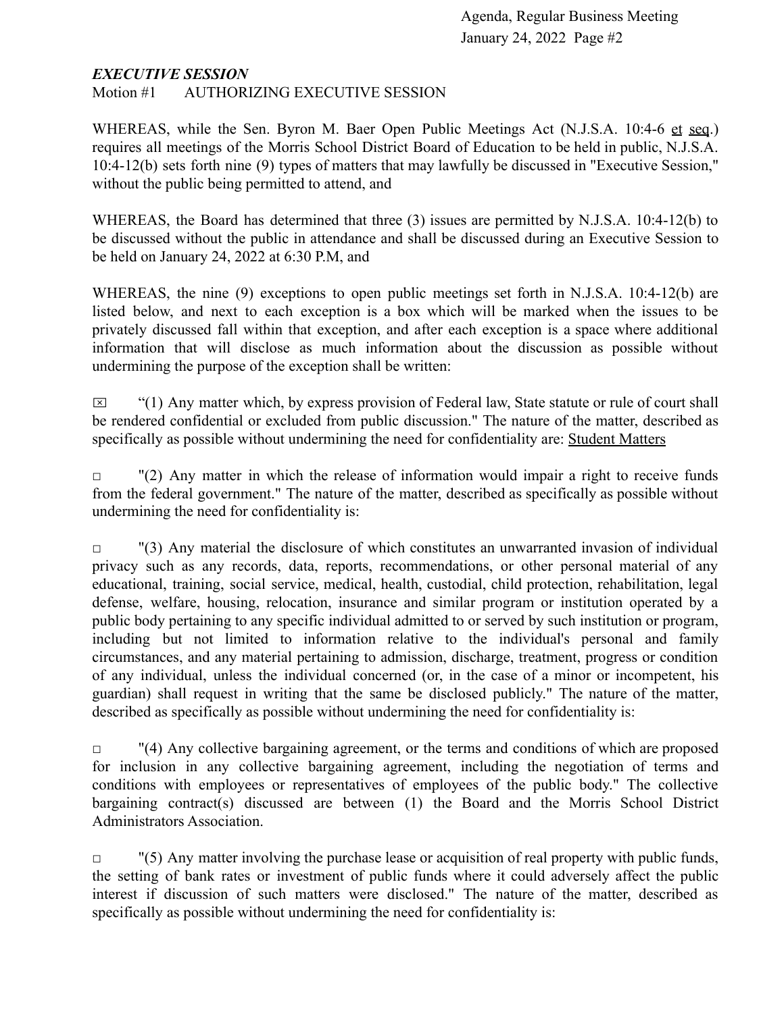#### *EXECUTIVE SESSION*

Motion #1 AUTHORIZING EXECUTIVE SESSION

WHEREAS, while the Sen. Byron M. Baer Open Public Meetings Act (N.J.S.A. 10:4-6 et seq.) requires all meetings of the Morris School District Board of Education to be held in public, N.J.S.A. 10:4-12(b) sets forth nine (9) types of matters that may lawfully be discussed in "Executive Session," without the public being permitted to attend, and

WHEREAS, the Board has determined that three (3) issues are permitted by N.J.S.A. 10:4-12(b) to be discussed without the public in attendance and shall be discussed during an Executive Session to be held on January 24, 2022 at 6:30 P.M, and

WHEREAS, the nine (9) exceptions to open public meetings set forth in N.J.S.A. 10:4-12(b) are listed below, and next to each exception is a box which will be marked when the issues to be privately discussed fall within that exception, and after each exception is a space where additional information that will disclose as much information about the discussion as possible without undermining the purpose of the exception shall be written:

 $\boxtimes$  "(1) Any matter which, by express provision of Federal law, State statute or rule of court shall be rendered confidential or excluded from public discussion." The nature of the matter, described as specifically as possible without undermining the need for confidentiality are: Student Matters

 $\Box$  "(2) Any matter in which the release of information would impair a right to receive funds from the federal government." The nature of the matter, described as specifically as possible without undermining the need for confidentiality is:

 $\Box$  "(3) Any material the disclosure of which constitutes an unwarranted invasion of individual privacy such as any records, data, reports, recommendations, or other personal material of any educational, training, social service, medical, health, custodial, child protection, rehabilitation, legal defense, welfare, housing, relocation, insurance and similar program or institution operated by a public body pertaining to any specific individual admitted to or served by such institution or program, including but not limited to information relative to the individual's personal and family circumstances, and any material pertaining to admission, discharge, treatment, progress or condition of any individual, unless the individual concerned (or, in the case of a minor or incompetent, his guardian) shall request in writing that the same be disclosed publicly." The nature of the matter, described as specifically as possible without undermining the need for confidentiality is:

 $\Box$  "(4) Any collective bargaining agreement, or the terms and conditions of which are proposed for inclusion in any collective bargaining agreement, including the negotiation of terms and conditions with employees or representatives of employees of the public body." The collective bargaining contract(s) discussed are between (1) the Board and the Morris School District Administrators Association.

 $\Box$  "(5) Any matter involving the purchase lease or acquisition of real property with public funds, the setting of bank rates or investment of public funds where it could adversely affect the public interest if discussion of such matters were disclosed." The nature of the matter, described as specifically as possible without undermining the need for confidentiality is: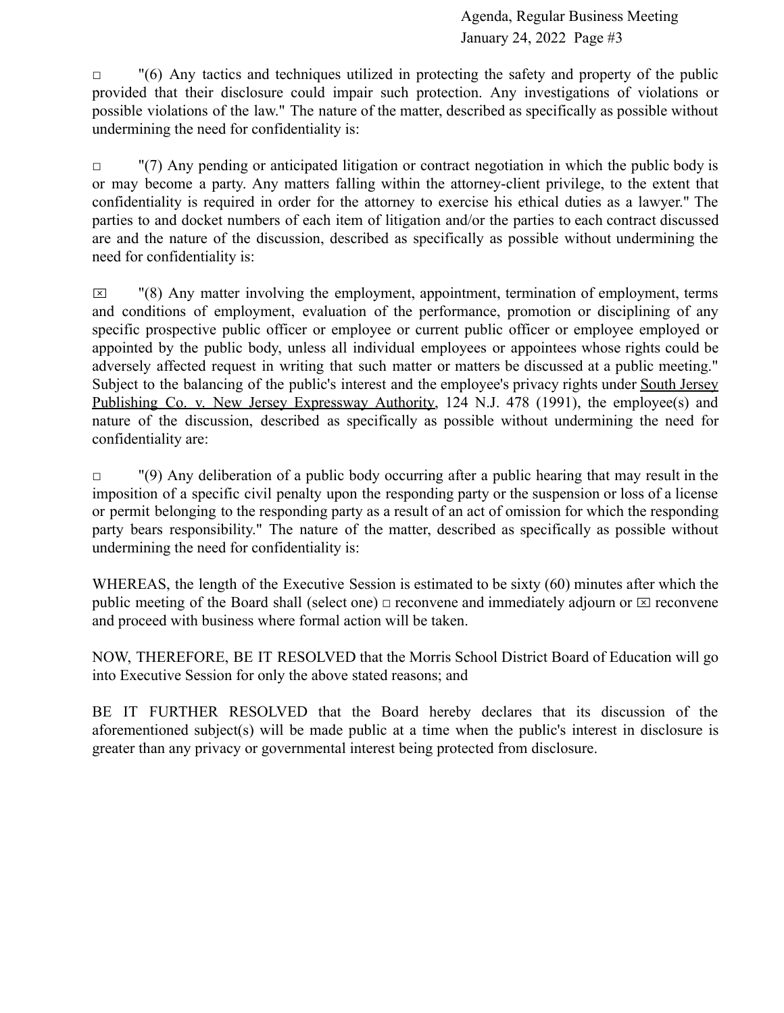$\Box$  "(6) Any tactics and techniques utilized in protecting the safety and property of the public provided that their disclosure could impair such protection. Any investigations of violations or possible violations of the law." The nature of the matter, described as specifically as possible without undermining the need for confidentiality is:

 $\Box$  "(7) Any pending or anticipated litigation or contract negotiation in which the public body is or may become a party. Any matters falling within the attorney-client privilege, to the extent that confidentiality is required in order for the attorney to exercise his ethical duties as a lawyer." The parties to and docket numbers of each item of litigation and/or the parties to each contract discussed are and the nature of the discussion, described as specifically as possible without undermining the need for confidentiality is:

 $\boxtimes$  "(8) Any matter involving the employment, appointment, termination of employment, terms and conditions of employment, evaluation of the performance, promotion or disciplining of any specific prospective public officer or employee or current public officer or employee employed or appointed by the public body, unless all individual employees or appointees whose rights could be adversely affected request in writing that such matter or matters be discussed at a public meeting." Subject to the balancing of the public's interest and the employee's privacy rights under South Jersey Publishing Co. v. New Jersey Expressway Authority, 124 N.J. 478 (1991), the employee(s) and nature of the discussion, described as specifically as possible without undermining the need for confidentiality are:

 $\Box$  "(9) Any deliberation of a public body occurring after a public hearing that may result in the imposition of a specific civil penalty upon the responding party or the suspension or loss of a license or permit belonging to the responding party as a result of an act of omission for which the responding party bears responsibility." The nature of the matter, described as specifically as possible without undermining the need for confidentiality is:

WHEREAS, the length of the Executive Session is estimated to be sixty (60) minutes after which the public meeting of the Board shall (select one)  $\Box$  reconvene and immediately adjourn or  $\Box$  reconvene and proceed with business where formal action will be taken.

NOW, THEREFORE, BE IT RESOLVED that the Morris School District Board of Education will go into Executive Session for only the above stated reasons; and

BE IT FURTHER RESOLVED that the Board hereby declares that its discussion of the aforementioned subject(s) will be made public at a time when the public's interest in disclosure is greater than any privacy or governmental interest being protected from disclosure.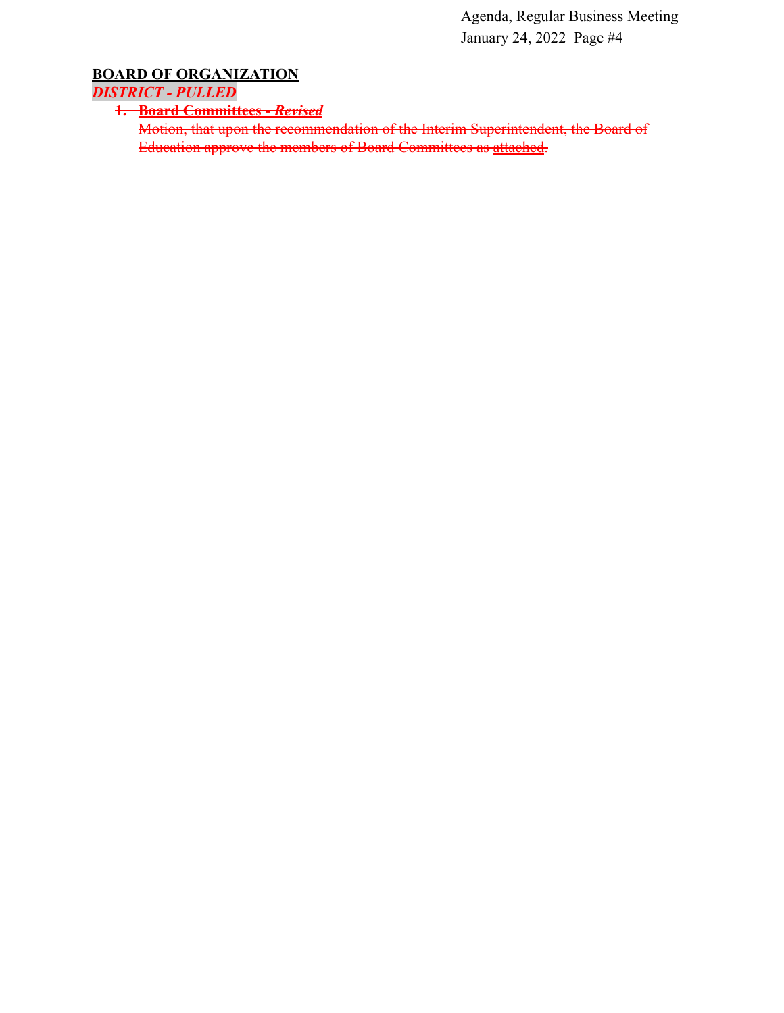# **BOARD OF ORGANIZATION**

*DISTRICT - PULLED*

**1. Board Committees -** *Revised*

Motion, that upon the recommendation of the Interim Superintendent, the Board of Education approve the members of Board Committees as [attached](https://drive.google.com/file/d/1jB4HNCKqq7kbZVPFgb-GdFdy_RRCQZBE/view?usp=sharing).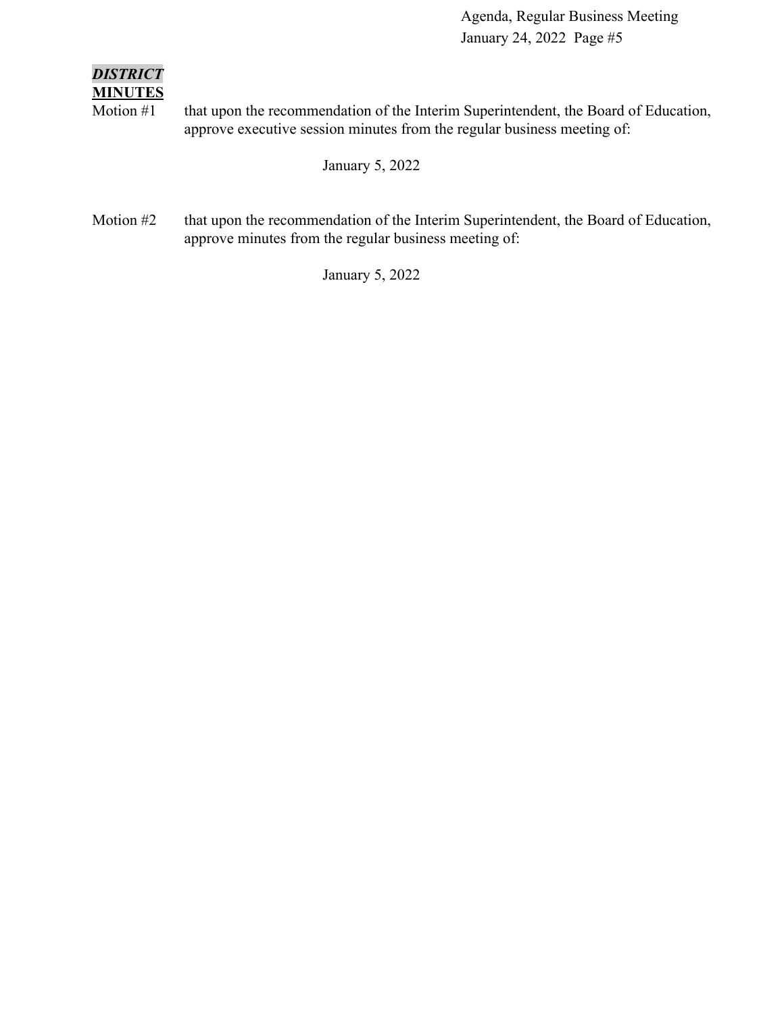#### *DISTRICT* **MINUTES**

Motion #1 that upon the recommendation of the Interim Superintendent, the Board of Education, approve executive session minutes from the regular business meeting of:

January 5, 2022

Motion #2 that upon the recommendation of the Interim Superintendent, the Board of Education, approve minutes from the regular business meeting of:

January 5, 2022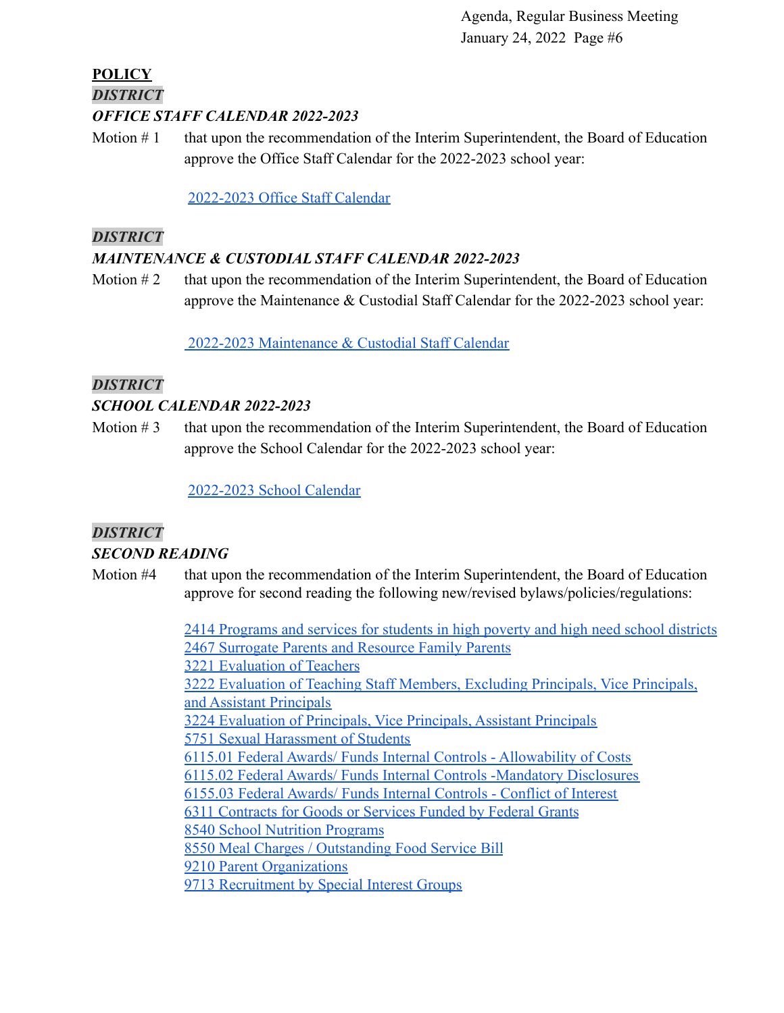# **POLICY** *DISTRICT*

*OFFICE STAFF CALENDAR 2022-2023*

Motion  $# 1$  that upon the recommendation of the Interim Superintendent, the Board of Education approve the Office Staff Calendar for the 2022-2023 school year:

[2022-2023 Office Staff Calendar](https://docs.google.com/document/d/1OrzGSK8AFKHJ4qkTAJSnzrCGLFGLoOzq/edit?usp=sharing&ouid=116999334560462810204&rtpof=true&sd=true)

#### *DISTRICT*

## *MAINTENANCE & CUSTODIAL STAFF CALENDAR 2022-2023*

Motion  $#2$  that upon the recommendation of the Interim Superintendent, the Board of Education approve the Maintenance & Custodial Staff Calendar for the 2022-2023 school year:

[2022-2023 Maintenance & Custodial Staff Calendar](https://docs.google.com/document/d/1gL5j_yzgowLbO_SZrmKW1Ecjnfyv9iNe/edit?usp=sharing&ouid=116999334560462810204&rtpof=true&sd=true)

### *DISTRICT*

#### *SCHOOL CALENDAR 2022-2023*

Motion  $# 3$  that upon the recommendation of the Interim Superintendent, the Board of Education approve the School Calendar for the 2022-2023 school year:

[2022-2023 School Calendar](https://drive.google.com/file/d/1o6rDcg4uuZnO_w5c3FSjOKyx_qM7GOz4/view?usp=sharing)

## *DISTRICT*

### *SECOND READING*

Motion #4 that upon the recommendation of the Interim Superintendent, the Board of Education approve for second reading the following new/revised bylaws/policies/regulations:

> [2414 Programs and services for students in high poverty and high need school districts](https://drive.google.com/file/d/1vwwLneTCTadyni-y4tkuDFf-Lwx8gtcm/view?usp=sharing) [2467 Surrogate Parents and Resource Family Parents](https://docs.google.com/document/d/1TkoOk4gxjIBmttbQk8Y-UyWF7Qs6PWOO/edit?usp=sharing&ouid=116999334560462810204&rtpof=true&sd=true) [3221 Evaluation of Teachers](https://docs.google.com/document/d/117zOn6kvqTdtC2zqRpKFPGEh3paOk2Fa/edit?usp=sharing&ouid=116999334560462810204&rtpof=true&sd=true) [3222 Evaluation of Teaching Staff Members, Excluding Principals, Vice Principals,](https://docs.google.com/document/d/1n4EVLKBmoqIX-grejmON1vCa5HDTH55t/edit?usp=sharing&ouid=116999334560462810204&rtpof=true&sd=true) [and Assistant Principals](https://docs.google.com/document/d/1n4EVLKBmoqIX-grejmON1vCa5HDTH55t/edit?usp=sharing&ouid=116999334560462810204&rtpof=true&sd=true) [3224 Evaluation of Principals, Vice Principals, Assistant Principals](https://docs.google.com/document/d/1fyUEvVv1xOm5lIYQDnUoxYUUigvMS2RU/edit?usp=sharing&ouid=116999334560462810204&rtpof=true&sd=true) [5751 Sexual Harassment of Students](https://docs.google.com/document/d/1sfOrTf1sMk8pZS-eMC0MsYu0NeRQMLXF/edit?usp=sharing&ouid=116999334560462810204&rtpof=true&sd=true) [6115.01 Federal Awards/ Funds Internal Controls - Allowability of Costs](https://docs.google.com/document/d/1JbOnKDBx6jWIE6pZzI2Cc4JI0-UATklq/edit?usp=sharing&ouid=116999334560462810204&rtpof=true&sd=true) [6115.02 Federal Awards/ Funds Internal Controls -Mandatory Disclosures](https://docs.google.com/document/d/1nIeIIgLeg8fzN1KOes9SR7BVY_IigJX1/edit?usp=sharing&ouid=116999334560462810204&rtpof=true&sd=true) [6155.03 Federal Awards/ Funds Internal Controls - Conflict of Interest](https://docs.google.com/document/d/1OTbrk-9uKGmBpe-msbjfSIu9aaw-K3-S/edit?usp=sharing&ouid=116999334560462810204&rtpof=true&sd=true) [6311 Contracts for Goods or Services Funded by Federal Grants](https://docs.google.com/document/d/19EcDRTHxTKFyHW8OOV4E5XO2CtileFT4/edit?usp=sharing&ouid=116999334560462810204&rtpof=true&sd=true) [8540 School Nutrition Programs](https://docs.google.com/document/d/1wF8QflxXh-MEcCNl1X42vzD4IsqIHlxC/edit?usp=sharing&ouid=116999334560462810204&rtpof=true&sd=true) [8550 Meal Charges / Outstanding Food Service Bill](https://docs.google.com/document/d/1OkfQR0kB_CdLZSHdJ5Z9PRJOXPzTzmxK/edit?usp=sharing&ouid=116999334560462810204&rtpof=true&sd=true) [9210 Parent Organizations](https://docs.google.com/document/d/1JxcpOl-gt8cur3IXQvtsWCGkpQb2PD5H/edit?usp=sharing&ouid=116999334560462810204&rtpof=true&sd=true) [9713 Recruitment by Special Interest Groups](https://docs.google.com/document/d/1gScMn5Imo75IL2oC3T6aLptkfrjxTonw/edit?usp=sharing&ouid=116999334560462810204&rtpof=true&sd=true)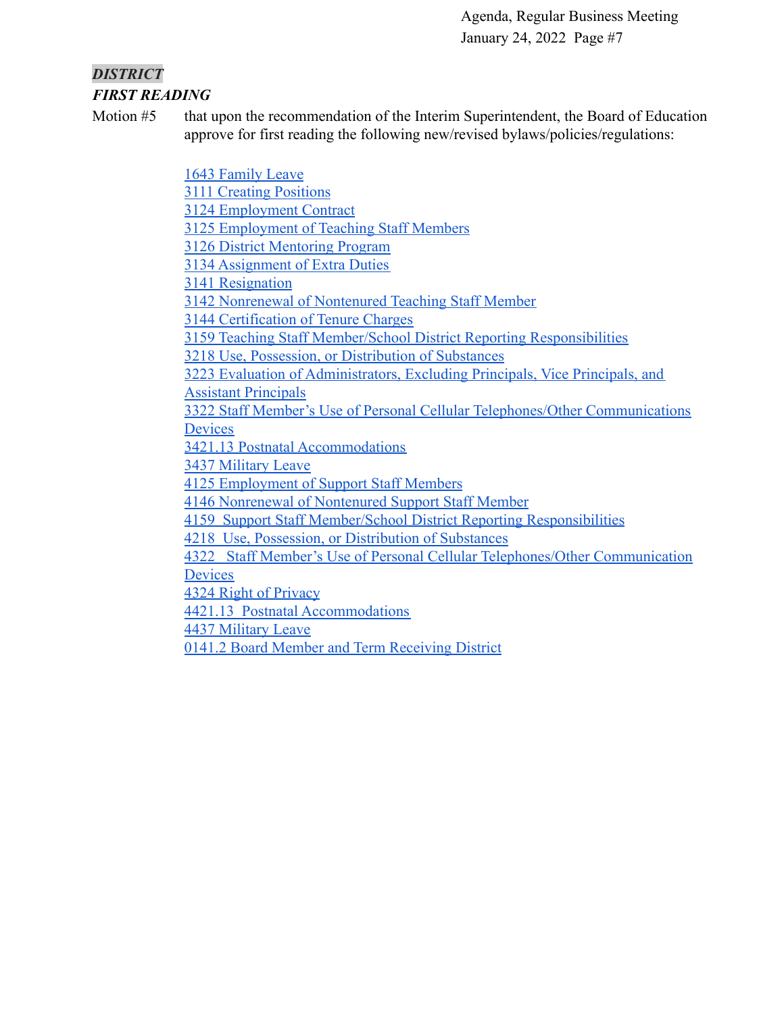## *DISTRICT FIRST READING*

Motion #5 that upon the recommendation of the Interim Superintendent, the Board of Education approve for first reading the following new/revised bylaws/policies/regulations:

> [1643 Family Leave](https://drive.google.com/file/d/1LHz-nEfzHSH5LXCK7KHoqgJX8MSKJnSC/view?usp=sharing) [3111 Creating Positions](https://drive.google.com/file/d/1aQfUbxqomuRTgzwQY_IvcX3Ke6Q-2Jqn/view?usp=sharing) [3124 Employment Contract](https://drive.google.com/file/d/1Be3-aH1RnG6NR6hN9YKDZjEPkPn-zjQ8/view?usp=sharing) [3125 Employment of Teaching Staff Members](https://drive.google.com/file/d/1ToeTHDQop9eg27QiSo84l7nqTpn6oWPG/view?usp=sharing) [3126 District Mentoring Program](https://drive.google.com/file/d/123G8zV0x1YVXwlizvgTtrj0-raCCb32i/view?usp=sharing) [3134 Assignment of Extra Duties](https://drive.google.com/file/d/16J9DA_KbQ6pWe-0fZpyy2HLDzGf7m703/view?usp=sharing) [3141 Resignation](https://drive.google.com/file/d/1JcTOVmeooXK3K6b2ge4XENZvmJz4efw-/view?usp=sharing) [3142 Nonrenewal of Nontenured Teaching Staff Member](https://drive.google.com/file/d/11p3xlSrw2sJURi61reiKJ947bpBX1WTn/view?usp=sharing) [3144 Certification of Tenure Charges](https://drive.google.com/file/d/1tiVzfVf4CGe720QID-kDxnDWSI0VXStA/view?usp=sharing) [3159 Teaching Staff Member/School District Reporting Responsibilities](https://drive.google.com/file/d/1TMuNG_PoptC4Zj0q1Q6kt5X4a_2xMv1_/view?usp=sharing) [3218 Use, Possession, or Distribution of Substances](https://drive.google.com/file/d/1BnCMSTizTf25vsKfzo7CW2CqsQmDa5nF/view?usp=sharing) [3223 Evaluation of Administrators, Excluding Principals, Vice Principals, and](https://drive.google.com/file/d/1X7Ggs35fdgRfcPBNOKuh74rXvMikTOsJ/view?usp=sharing) **[Assistant Principals](https://drive.google.com/file/d/1X7Ggs35fdgRfcPBNOKuh74rXvMikTOsJ/view?usp=sharing)** [3322 Staff Member's Use of Personal Cellular Telephones/Other Communications](https://drive.google.com/file/d/1Y-QuWxnYg9AFxBPlbSygjqJzS5CP-JlO/view?usp=sharing) **[Devices](https://drive.google.com/file/d/1Y-QuWxnYg9AFxBPlbSygjqJzS5CP-JlO/view?usp=sharing)** [3421.13 Postnatal Accommodations](https://drive.google.com/file/d/126rfz085QivyWxAO1bz_edY2jnAqwvPP/view?usp=sharing) [3437 Military Leave](https://drive.google.com/file/d/1cKF7wMZM4dxErAfMidQVe8-rTJYWXLto/view?usp=sharing) [4125 Employment of Support Staff Members](https://drive.google.com/file/d/1Q3qRjtdJDRfgHf1gjotAQ8QwjZU177Vb/view?usp=sharing) [4146 Nonrenewal of Nontenured Support Staff Member](https://drive.google.com/file/d/1uF0e_Y0w2c6DKNJEGKxjAefqEQgTIXYw/view?usp=sharing) [4159 Support Staff Member/School District Reporting Responsibilities](https://drive.google.com/file/d/1SivGwojSk9ENuJzcw_5DYeUoMcUDwBlZ/view?usp=sharing) [4218 Use, Possession, or Distribution of Substances](https://drive.google.com/file/d/1t55hnBoOZOnQCvSEGx--GxIBX1GzmPti/view?usp=sharing) [4322 Staff Member's Use of Personal Cellular Telephones/Other Communication](https://drive.google.com/file/d/1GOttN3wap37r87nqKL_nunQRMGKldNs3/view?usp=sharing) **[Devices](https://drive.google.com/file/d/1GOttN3wap37r87nqKL_nunQRMGKldNs3/view?usp=sharing)** [4324 Right of Privacy](https://drive.google.com/file/d/1eGkjKSM5d7rFwtTAAi2hdG9KzwHr7DY6/view?usp=sharing) [4421.13 Postnatal Accommodations](https://drive.google.com/file/d/10IniTHSfj341AT8AnYKQC4kEmHEyX2OK/view?usp=sharing) [4437 Military Leave](https://drive.google.com/file/d/1su7vpv1TWdRnT-ccJVgKLAibO0GhvSMM/view?usp=sharing)

[0141.2 Board Member and Term Receiving District](https://drive.google.com/file/d/17VZP43HMl0Ys7Kq-Kr9YZewBNcKy48q-/view?usp=sharing)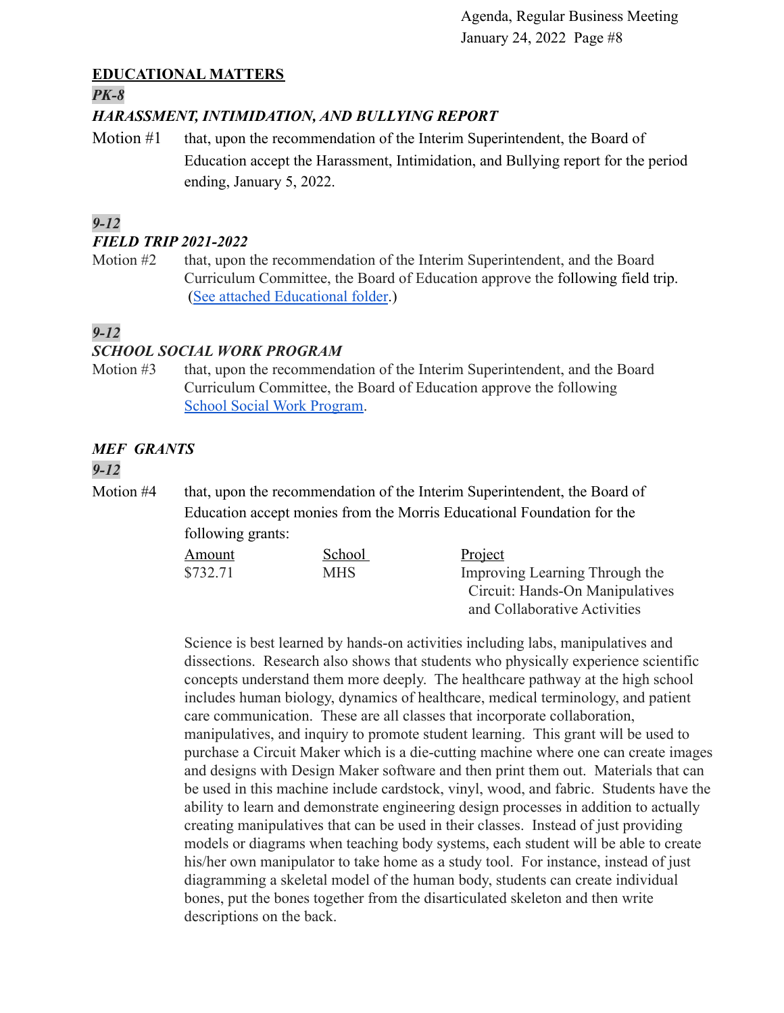### **EDUCATIONAL MATTERS**

*PK-8*

## *HARASSMENT, INTIMIDATION, AND BULLYING REPORT*

Motion #1 that, upon the recommendation of the Interim Superintendent, the Board of Education accept the Harassment, Intimidation, and Bullying report for the period ending, January 5, 2022.

## *9-12*

#### *FIELD TRIP 2021-2022*

Motion #2 that, upon the recommendation of the Interim Superintendent, and the Board Curriculum Committee, the Board of Education approve the following field trip. ([See attached Educational folder](https://drive.google.com/file/d/1OzpnirJNQKbDzWzgq4qzxSB9T_rifGq7/view?usp=sharing).)

# *9-12*

### *SCHOOL SOCIAL WORK PROGRAM*

Motion #3 that, upon the recommendation of the Interim Superintendent, and the Board Curriculum Committee, the Board of Education approve the following [School Social Work Program](https://drive.google.com/file/d/1FI75uwE83CCzcEk_K6cTr-SaGBTahWMY/view?usp=sharing).

# *MEF GRANTS*

### *9-12*

Motion #4 that, upon the recommendation of the Interim Superintendent, the Board of Education accept monies from the Morris Educational Foundation for the following grants:

| Amount   | School     | Project                         |
|----------|------------|---------------------------------|
| \$732.71 | <b>MHS</b> | Improving Learning Through the  |
|          |            | Circuit: Hands-On Manipulatives |
|          |            | and Collaborative Activities    |

Science is best learned by hands-on activities including labs, manipulatives and dissections. Research also shows that students who physically experience scientific concepts understand them more deeply. The healthcare pathway at the high school includes human biology, dynamics of healthcare, medical terminology, and patient care communication. These are all classes that incorporate collaboration, manipulatives, and inquiry to promote student learning. This grant will be used to purchase a Circuit Maker which is a die-cutting machine where one can create images and designs with Design Maker software and then print them out. Materials that can be used in this machine include cardstock, vinyl, wood, and fabric. Students have the ability to learn and demonstrate engineering design processes in addition to actually creating manipulatives that can be used in their classes. Instead of just providing models or diagrams when teaching body systems, each student will be able to create his/her own manipulator to take home as a study tool. For instance, instead of just diagramming a skeletal model of the human body, students can create individual bones, put the bones together from the disarticulated skeleton and then write descriptions on the back.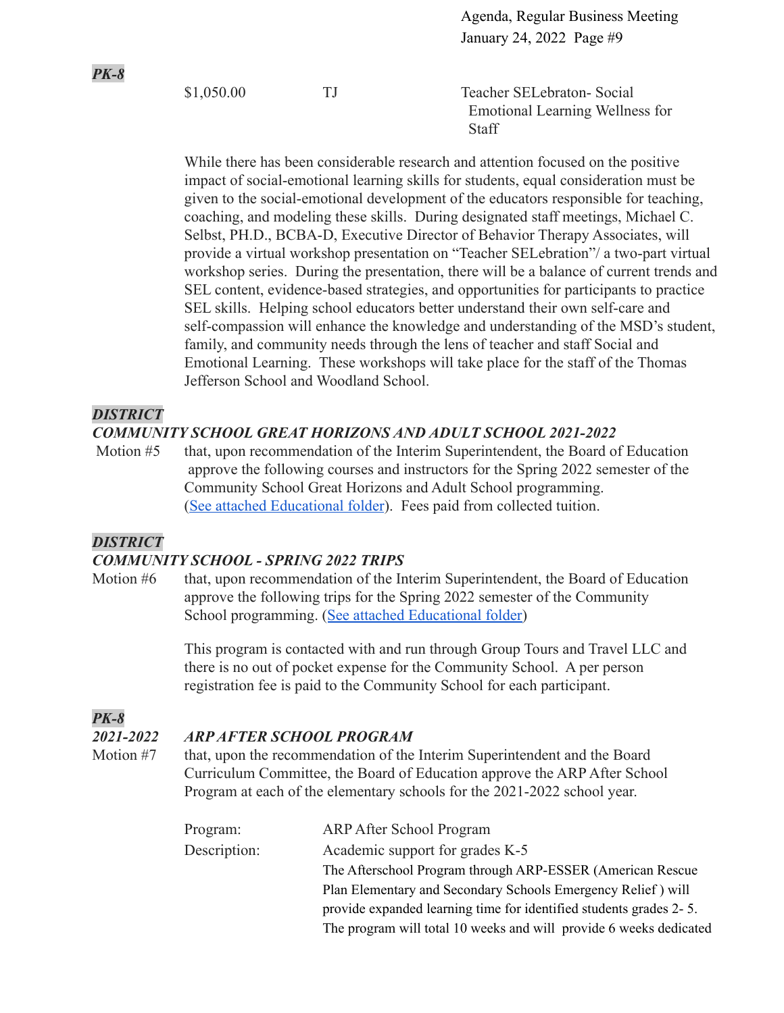\$1,050.00 TJ Teacher SELebraton- Social Emotional Learning Wellness for **Staff** 

While there has been considerable research and attention focused on the positive impact of social-emotional learning skills for students, equal consideration must be given to the social-emotional development of the educators responsible for teaching, coaching, and modeling these skills. During designated staff meetings, Michael C. Selbst, PH.D., BCBA-D, Executive Director of Behavior Therapy Associates, will provide a virtual workshop presentation on "Teacher SELebration"/ a two-part virtual workshop series. During the presentation, there will be a balance of current trends and SEL content, evidence-based strategies, and opportunities for participants to practice SEL skills. Helping school educators better understand their own self-care and self-compassion will enhance the knowledge and understanding of the MSD's student, family, and community needs through the lens of teacher and staff Social and Emotional Learning. These workshops will take place for the staff of the Thomas Jefferson School and Woodland School.

#### *DISTRICT*

*PK-8*

### *COMMUNITY SCHOOL GREAT HORIZONS AND ADULT SCHOOL 2021-2022*

Motion #5 that, upon recommendation of the Interim Superintendent, the Board of Education approve the following courses and instructors for the Spring 2022 semester of the Community School Great Horizons and Adult School programming. ([See attached Educational folder](https://drive.google.com/file/d/1wip0YOg0sbghLY0nC4-KlZWGKTZHuvhM/view?usp=sharing)). Fees paid from collected tuition.

### *DISTRICT*

#### *COMMUNITY SCHOOL - SPRING 2022 TRIPS*

Motion #6 that, upon recommendation of the Interim Superintendent, the Board of Education approve the following trips for the Spring 2022 semester of the Community School programming. ([See attached Educational folder\)](https://drive.google.com/file/d/1ROINOpmGkHc8AlME8168wTWQsnuFxe63/view?usp=sharing)

> This program is contacted with and run through Group Tours and Travel LLC and there is no out of pocket expense for the Community School. A per person registration fee is paid to the Community School for each participant.

## *PK-8*

### *2021-2022 ARP AFTER SCHOOL PROGRAM*

Motion #7 that, upon the recommendation of the Interim Superintendent and the Board Curriculum Committee, the Board of Education approve the ARP After School Program at each of the elementary schools for the 2021-2022 school year.

| Program:     | <b>ARP After School Program</b>                                    |
|--------------|--------------------------------------------------------------------|
| Description: | Academic support for grades K-5                                    |
|              | The Afterschool Program through ARP-ESSER (American Rescue)        |
|              | Plan Elementary and Secondary Schools Emergency Relief) will       |
|              | provide expanded learning time for identified students grades 2-5. |
|              | The program will total 10 weeks and will provide 6 weeks dedicated |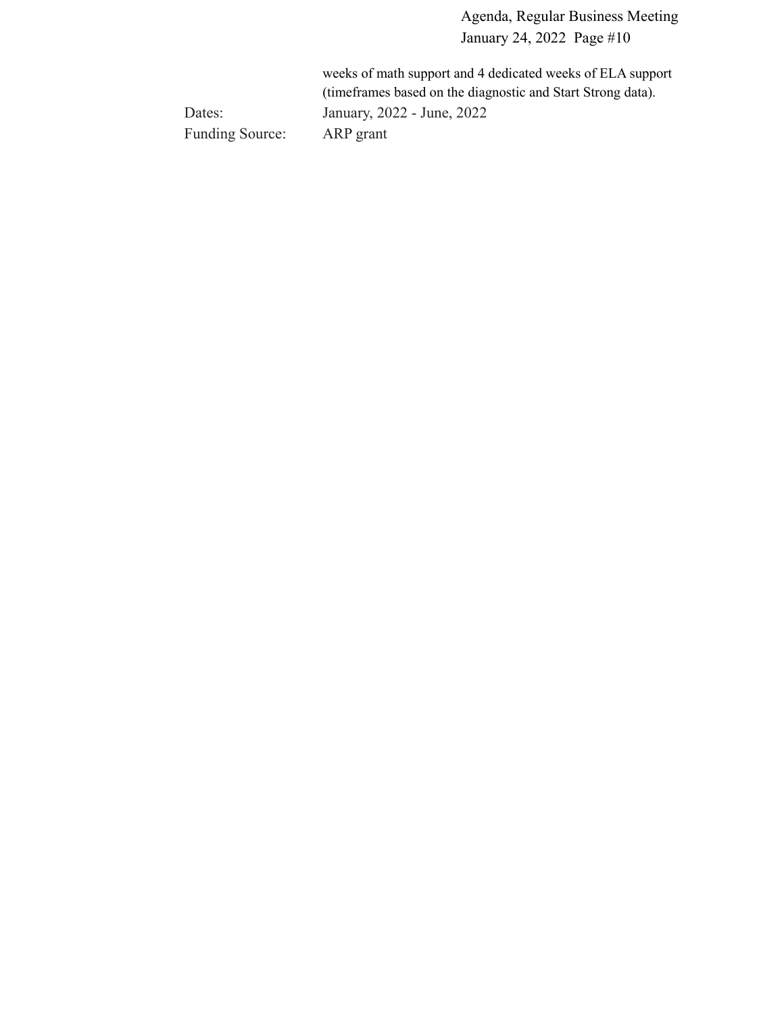weeks of math support and 4 dedicated weeks of ELA support (timeframes based on the diagnostic and Start Strong data). Dates: January, 2022 - June, 2022 Funding Source: ARP grant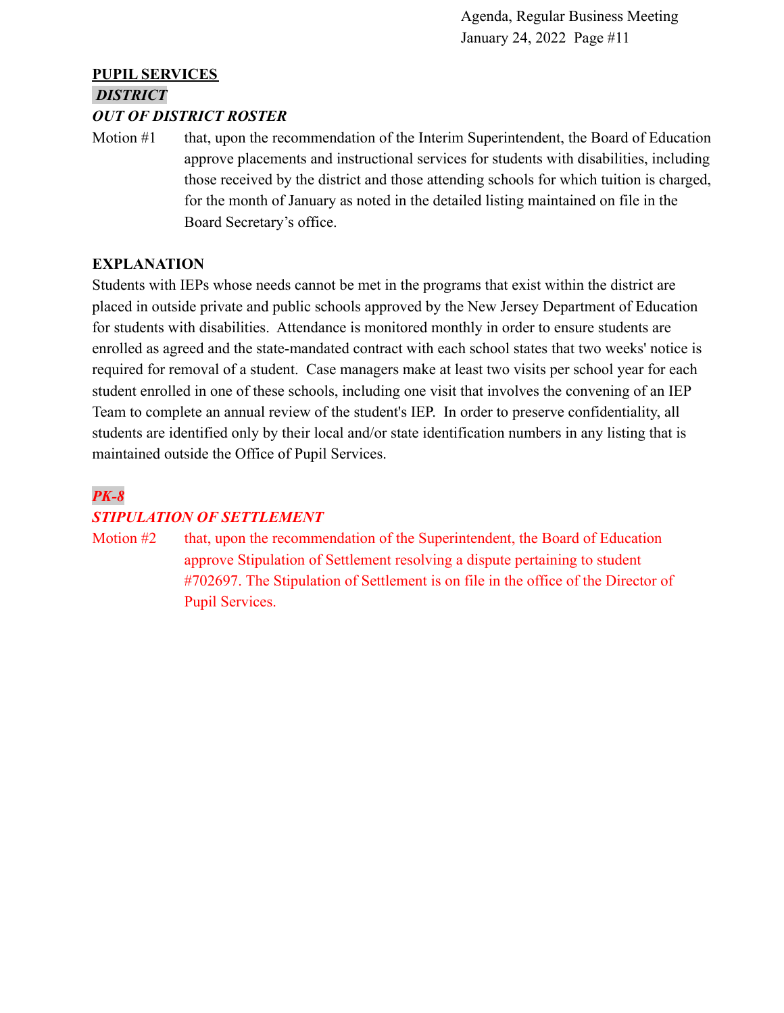# **PUPIL SERVICES** *DISTRICT*

#### *OUT OF DISTRICT ROSTER*

Motion #1 that, upon the recommendation of the Interim Superintendent, the Board of Education approve placements and instructional services for students with disabilities, including those received by the district and those attending schools for which tuition is charged, for the month of January as noted in the detailed listing maintained on file in the Board Secretary's office.

#### **EXPLANATION**

Students with IEPs whose needs cannot be met in the programs that exist within the district are placed in outside private and public schools approved by the New Jersey Department of Education for students with disabilities. Attendance is monitored monthly in order to ensure students are enrolled as agreed and the state-mandated contract with each school states that two weeks' notice is required for removal of a student. Case managers make at least two visits per school year for each student enrolled in one of these schools, including one visit that involves the convening of an IEP Team to complete an annual review of the student's IEP. In order to preserve confidentiality, all students are identified only by their local and/or state identification numbers in any listing that is maintained outside the Office of Pupil Services.

# *PK-8 STIPULATION OF SETTLEMENT*

Motion #2 that, upon the recommendation of the Superintendent, the Board of Education approve Stipulation of Settlement resolving a dispute pertaining to student #702697. The Stipulation of Settlement is on file in the office of the Director of Pupil Services.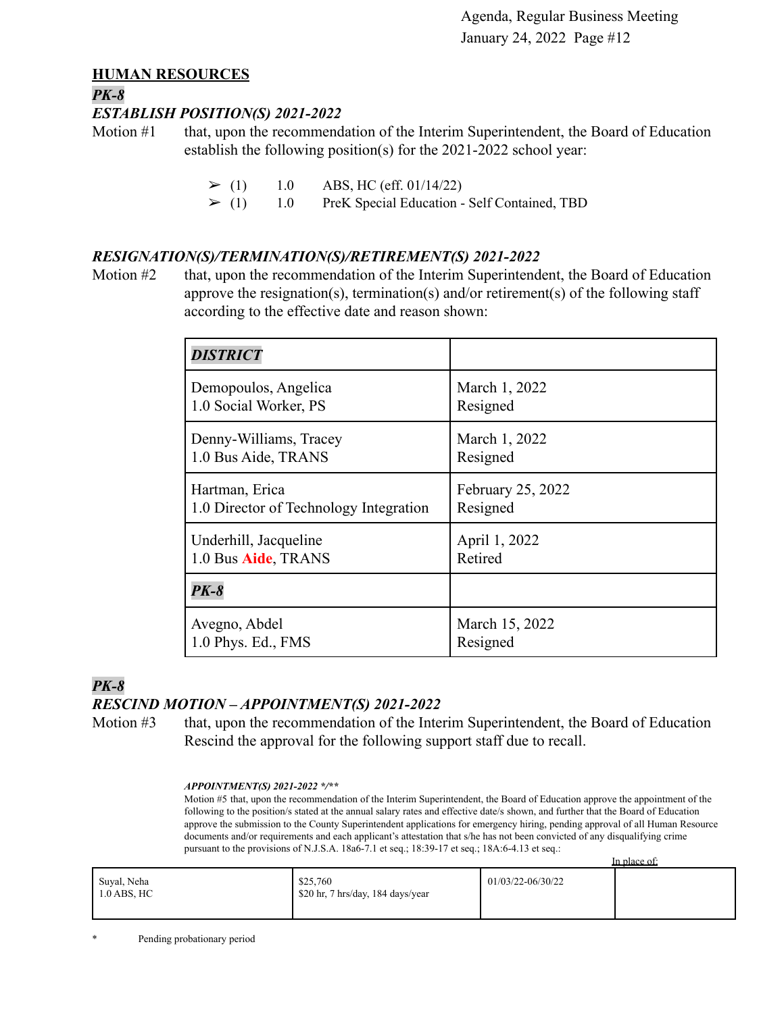#### **HUMAN RESOURCES**

#### *PK-8*

#### *ESTABLISH POSITION(S) 2021-2022*

Motion #1 that, upon the recommendation of the Interim Superintendent, the Board of Education establish the following position(s) for the 2021-2022 school year:

 $\geq$  (1) 1.0 ABS, HC (eff. 01/14/22)

 $\geq$  (1) 1.0 PreK Special Education - Self Contained, TBD

#### *RESIGNATION(S)/TERMINATION(S)/RETIREMENT(S) 2021-2022*

Motion #2 that, upon the recommendation of the Interim Superintendent, the Board of Education approve the resignation(s), termination(s) and/or retirement(s) of the following staff according to the effective date and reason shown:

| <b>DISTRICT</b>                        |                   |
|----------------------------------------|-------------------|
| Demopoulos, Angelica                   | March 1, 2022     |
| 1.0 Social Worker, PS                  | Resigned          |
| Denny-Williams, Tracey                 | March 1, 2022     |
| 1.0 Bus Aide, TRANS                    | Resigned          |
| Hartman, Erica                         | February 25, 2022 |
| 1.0 Director of Technology Integration | Resigned          |
| Underhill, Jacqueline                  | April 1, 2022     |
| 1.0 Bus Aide, TRANS                    | Retired           |
| $PK-8$                                 |                   |
| Avegno, Abdel                          | March 15, 2022    |
| 1.0 Phys. Ed., FMS                     | Resigned          |

#### *PK-8 RESCIND MOTION – APPOINTMENT(S) 2021-2022*

Motion #3 that, upon the recommendation of the Interim Superintendent, the Board of Education Rescind the approval for the following support staff due to recall.

#### *APPOINTMENT(S) 2021-2022 \*/\*\**

Motion #5 that, upon the recommendation of the Interim Superintendent, the Board of Education approve the appointment of the following to the position/s stated at the annual salary rates and effective date/s shown, and further that the Board of Education approve the submission to the County Superintendent applications for emergency hiring, pending approval of all Human Resource documents and/or requirements and each applicant's attestation that s/he has not been convicted of any disqualifying crime pursuant to the provisions of N.J.S.A. 18a6-7.1 et seq.; 18:39-17 et seq.; 18A:6-4.13 et seq.: In place of:

|                              |                                               |                   | TIL DIACE OF |
|------------------------------|-----------------------------------------------|-------------------|--------------|
| Suyal, Neha<br>$1.0$ ABS, HC | \$25,760<br>\$20 hr, 7 hrs/day, 184 days/year | 01/03/22-06/30/22 |              |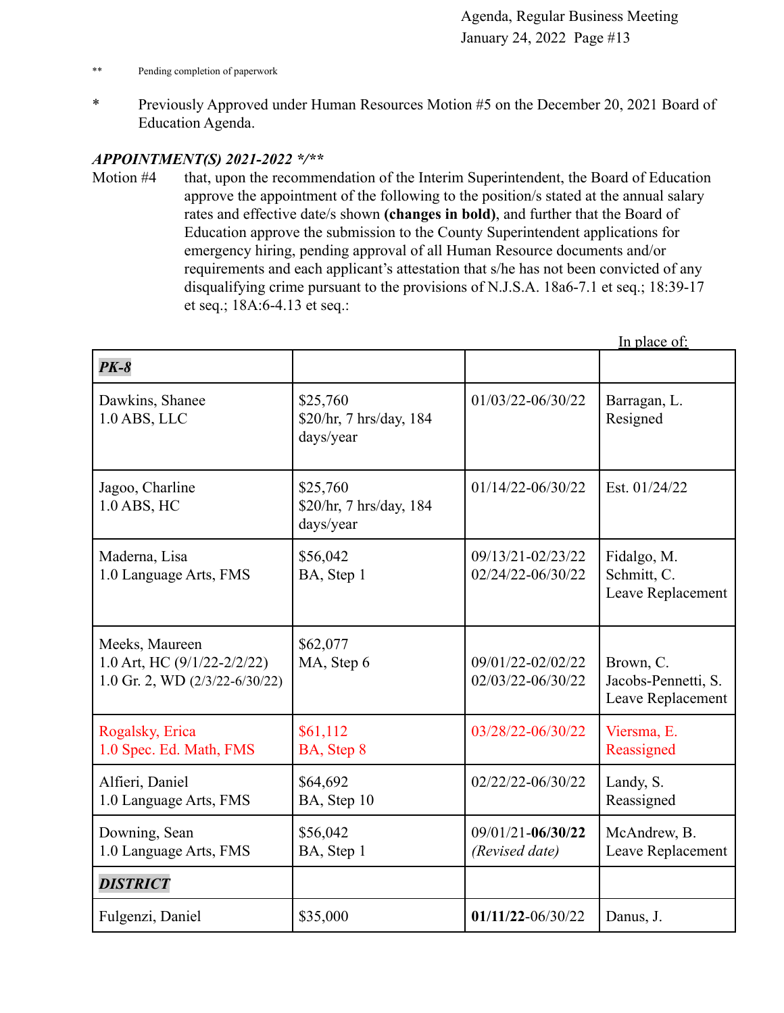- \*\* Pending completion of paperwork
- \* Previously Approved under Human Resources Motion #5 on the December 20, 2021 Board of Education Agenda.

#### *APPOINTMENT(S) 2021-2022 \*/\*\**

Motion #4 that, upon the recommendation of the Interim Superintendent, the Board of Education approve the appointment of the following to the position/s stated at the annual salary rates and effective date/s shown **(changes in bold)**, and further that the Board of Education approve the submission to the County Superintendent applications for emergency hiring, pending approval of all Human Resource documents and/or requirements and each applicant's attestation that s/he has not been convicted of any disqualifying crime pursuant to the provisions of N.J.S.A. 18a6-7.1 et seq.; 18:39-17 et seq.; 18A:6-4.13 et seq.:

|                                                                                         |                                                  |                                        | In place of:                                          |
|-----------------------------------------------------------------------------------------|--------------------------------------------------|----------------------------------------|-------------------------------------------------------|
| $PK-8$                                                                                  |                                                  |                                        |                                                       |
| Dawkins, Shanee<br>$1.0$ ABS, LLC                                                       | \$25,760<br>\$20/hr, 7 hrs/day, 184<br>days/year | 01/03/22-06/30/22                      | Barragan, L.<br>Resigned                              |
| Jagoo, Charline<br>1.0 ABS, HC                                                          | \$25,760<br>\$20/hr, 7 hrs/day, 184<br>days/year | $01/14/22 - 06/30/22$                  | Est. 01/24/22                                         |
| Maderna, Lisa<br>1.0 Language Arts, FMS                                                 | \$56,042<br>BA, Step 1                           | 09/13/21-02/23/22<br>02/24/22-06/30/22 | Fidalgo, M.<br>Schmitt, C.<br>Leave Replacement       |
| Meeks, Maureen<br>1.0 Art, HC $(9/1/22 - 2/2/22)$<br>1.0 Gr. 2, WD $(2/3/22 - 6/30/22)$ | \$62,077<br>MA, Step 6                           | 09/01/22-02/02/22<br>02/03/22-06/30/22 | Brown, C.<br>Jacobs-Pennetti, S.<br>Leave Replacement |
| Rogalsky, Erica<br>1.0 Spec. Ed. Math, FMS                                              | \$61,112<br>BA, Step 8                           | 03/28/22-06/30/22                      | Viersma, E.<br>Reassigned                             |
| Alfieri, Daniel<br>1.0 Language Arts, FMS                                               | \$64,692<br>BA, Step 10                          | 02/22/22-06/30/22                      | Landy, S.<br>Reassigned                               |
| Downing, Sean<br>1.0 Language Arts, FMS                                                 | \$56,042<br>BA, Step 1                           | 09/01/21-06/30/22<br>(Revised date)    | McAndrew, B.<br>Leave Replacement                     |
| <b>DISTRICT</b>                                                                         |                                                  |                                        |                                                       |
| Fulgenzi, Daniel                                                                        | \$35,000                                         | $01/11/22 - 06/30/22$                  | Danus, J.                                             |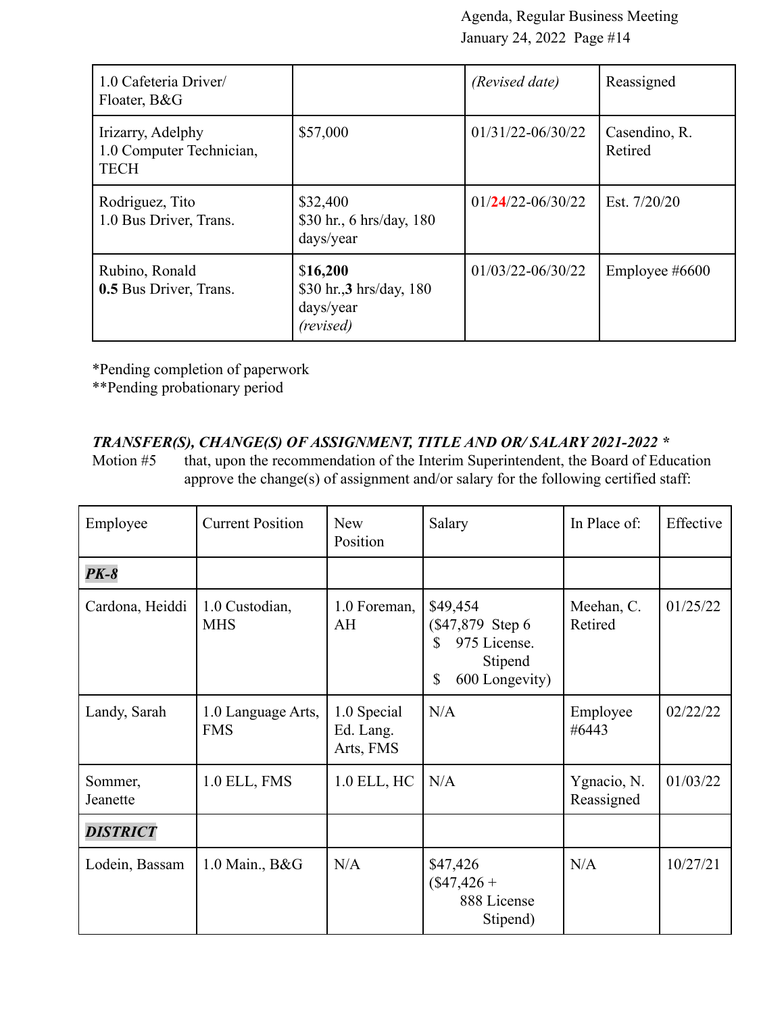| 1.0 Cafeteria Driver/<br>Floater, B&G                        |                                                                | (Revised date)        | Reassigned               |
|--------------------------------------------------------------|----------------------------------------------------------------|-----------------------|--------------------------|
| Irizarry, Adelphy<br>1.0 Computer Technician,<br><b>TECH</b> | \$57,000                                                       | $01/31/22 - 06/30/22$ | Casendino, R.<br>Retired |
| Rodriguez, Tito<br>1.0 Bus Driver, Trans.                    | \$32,400<br>\$30 hr., 6 hrs/day, 180<br>days/year              | $01/24/22 - 06/30/22$ | Est. 7/20/20             |
| Rubino, Ronald<br>0.5 Bus Driver, Trans.                     | \$16,200<br>\$30 hr., 3 hrs/day, 180<br>days/year<br>(revised) | $01/03/22 - 06/30/22$ | Employee $\#6600$        |

\*Pending completion of paperwork

\*\*Pending probationary period

## *TRANSFER(S), CHANGE(S) OF ASSIGNMENT, TITLE AND OR/ SALARY 2021-2022 \**

Motion #5 that, upon the recommendation of the Interim Superintendent, the Board of Education approve the change(s) of assignment and/or salary for the following certified staff:

| Employee            | <b>Current Position</b>          | <b>New</b><br>Position                | Salary                                                                                 | In Place of:              | Effective |
|---------------------|----------------------------------|---------------------------------------|----------------------------------------------------------------------------------------|---------------------------|-----------|
| $PK-8$              |                                  |                                       |                                                                                        |                           |           |
| Cardona, Heiddi     | 1.0 Custodian,<br><b>MHS</b>     | 1.0 Foreman,<br>AH                    | \$49,454<br>(\$47,879 Step 6)<br>975 License.<br>\$<br>Stipend<br>\$<br>600 Longevity) | Meehan, C.<br>Retired     | 01/25/22  |
| Landy, Sarah        | 1.0 Language Arts,<br><b>FMS</b> | 1.0 Special<br>Ed. Lang.<br>Arts, FMS | N/A                                                                                    | Employee<br>#6443         | 02/22/22  |
| Sommer,<br>Jeanette | 1.0 ELL, FMS                     | 1.0 ELL, HC                           | N/A                                                                                    | Ygnacio, N.<br>Reassigned | 01/03/22  |
| <b>DISTRICT</b>     |                                  |                                       |                                                                                        |                           |           |
| Lodein, Bassam      | 1.0 Main., B&G                   | N/A                                   | \$47,426<br>$($47,426 +$<br>888 License<br>Stipend)                                    | N/A                       | 10/27/21  |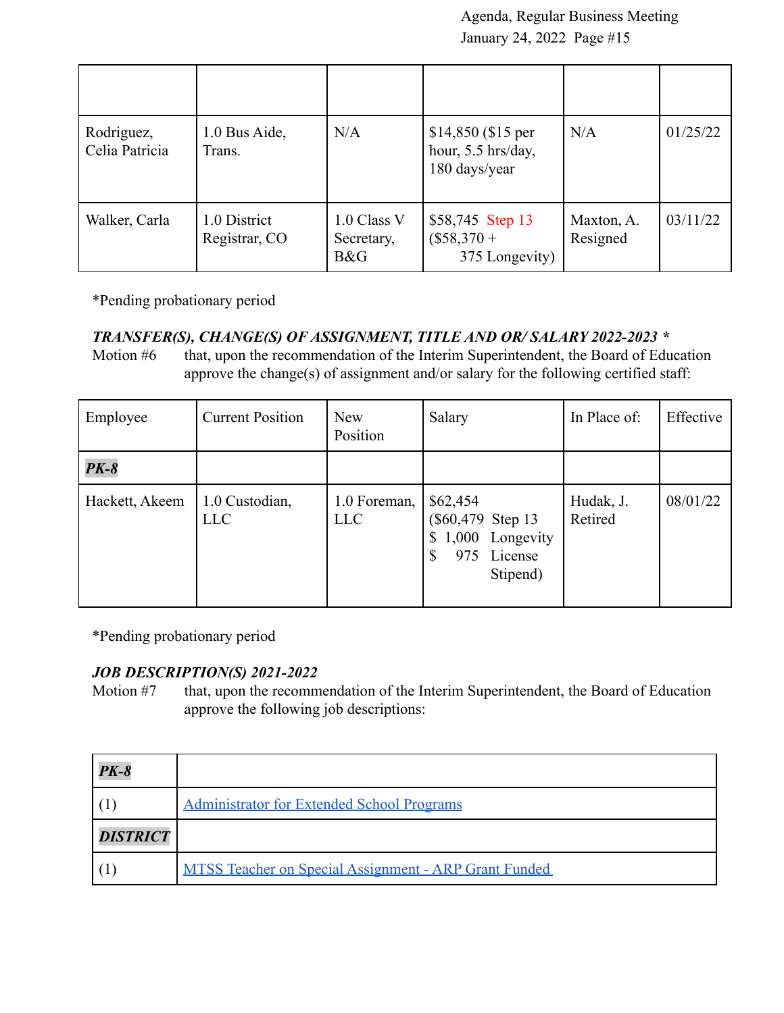| Rodriguez,<br>Celia Patricia | 1.0 Bus Aide,<br>Trans.       | N/A                              | $$14,850$ (\$15 per<br>hour, 5.5 hrs/day,<br>180 days/year | N/A                    | 01/25/22 |
|------------------------------|-------------------------------|----------------------------------|------------------------------------------------------------|------------------------|----------|
| Walker, Carla                | 1.0 District<br>Registrar, CO | 1.0 Class V<br>Secretary,<br>B&G | \$58,745 Step 13<br>$($58,370 +$<br>375 Longevity)         | Maxton, A.<br>Resigned | 03/11/22 |

\*Pending probationary period

#### *TRANSFER(S), CHANGE(S) OF ASSIGNMENT, TITLE AND OR/ SALARY 2022-2023 \**

Motion #6 that, upon the recommendation of the Interim Superintendent, the Board of Education approve the change(s) of assignment and/or salary for the following certified staff:

| Employee       | <b>Current Position</b>      | <b>New</b><br>Position     | Salary                                                                          | In Place of:         | Effective |
|----------------|------------------------------|----------------------------|---------------------------------------------------------------------------------|----------------------|-----------|
| $PK-8$         |                              |                            |                                                                                 |                      |           |
| Hackett, Akeem | 1.0 Custodian,<br><b>LLC</b> | 1.0 Foreman,<br><b>LLC</b> | \$62,454<br>(\$60,479 Step 13)<br>1,000 Longevity<br>License<br>975<br>Stipend) | Hudak, J.<br>Retired | 08/01/22  |

\*Pending probationary period

#### *JOB DESCRIPTION(S) 2021-2022*

Motion #7 that, upon the recommendation of the Interim Superintendent, the Board of Education approve the following job descriptions:

| $PK-8$          |                                                              |
|-----------------|--------------------------------------------------------------|
|                 | <b>Administrator for Extended School Programs</b>            |
| <b>DISTRICT</b> |                                                              |
|                 | <b>MTSS Teacher on Special Assignment - ARP Grant Funded</b> |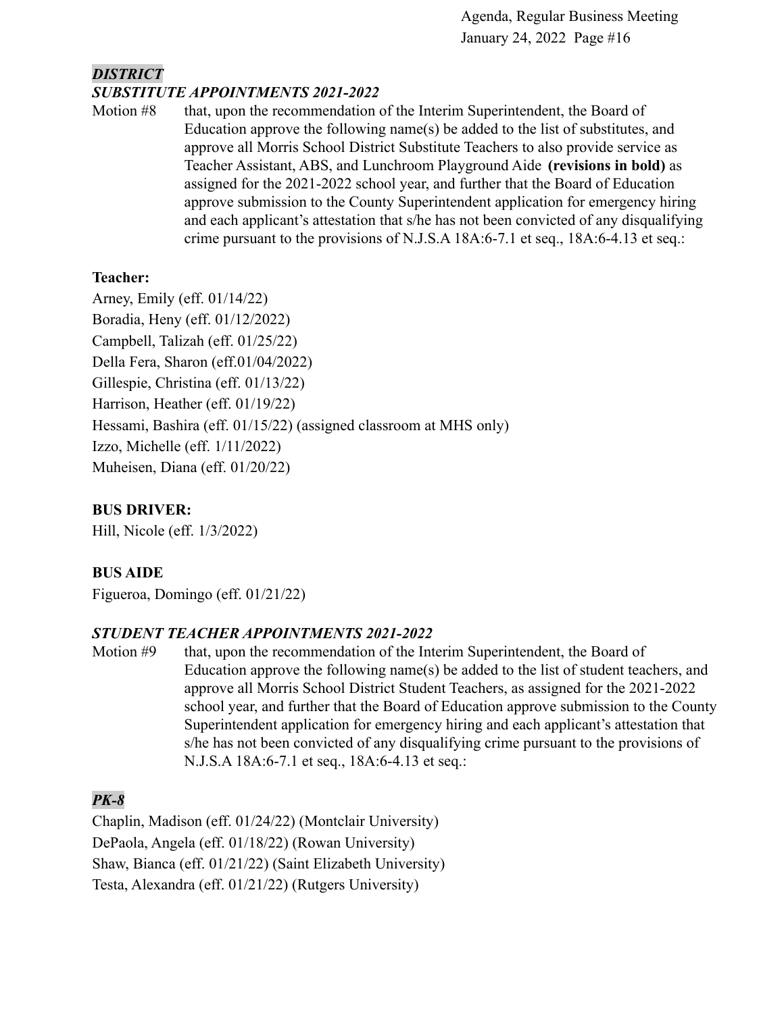### *DISTRICT SUBSTITUTE APPOINTMENTS 2021-2022*

Motion #8 that, upon the recommendation of the Interim Superintendent, the Board of Education approve the following name(s) be added to the list of substitutes, and approve all Morris School District Substitute Teachers to also provide service as Teacher Assistant, ABS, and Lunchroom Playground Aide **(revisions in bold)** as assigned for the 2021-2022 school year, and further that the Board of Education approve submission to the County Superintendent application for emergency hiring and each applicant's attestation that s/he has not been convicted of any disqualifying crime pursuant to the provisions of N.J.S.A 18A:6-7.1 et seq., 18A:6-4.13 et seq.:

### **Teacher:**

Arney, Emily (eff. 01/14/22) Boradia, Heny (eff. 01/12/2022) Campbell, Talizah (eff. 01/25/22) Della Fera, Sharon (eff.01/04/2022) Gillespie, Christina (eff. 01/13/22) Harrison, Heather (eff. 01/19/22) Hessami, Bashira (eff. 01/15/22) (assigned classroom at MHS only) Izzo, Michelle (eff. 1/11/2022) Muheisen, Diana (eff. 01/20/22)

## **BUS DRIVER:**

Hill, Nicole (eff. 1/3/2022)

## **BUS AIDE**

Figueroa, Domingo (eff. 01/21/22)

### *STUDENT TEACHER APPOINTMENTS 2021-2022*

Motion #9 that, upon the recommendation of the Interim Superintendent, the Board of Education approve the following name(s) be added to the list of student teachers, and approve all Morris School District Student Teachers, as assigned for the 2021-2022 school year, and further that the Board of Education approve submission to the County Superintendent application for emergency hiring and each applicant's attestation that s/he has not been convicted of any disqualifying crime pursuant to the provisions of N.J.S.A 18A:6-7.1 et seq., 18A:6-4.13 et seq.:

## *PK-8*

Chaplin, Madison (eff. 01/24/22) (Montclair University) DePaola, Angela (eff. 01/18/22) (Rowan University) Shaw, Bianca (eff. 01/21/22) (Saint Elizabeth University) Testa, Alexandra (eff. 01/21/22) (Rutgers University)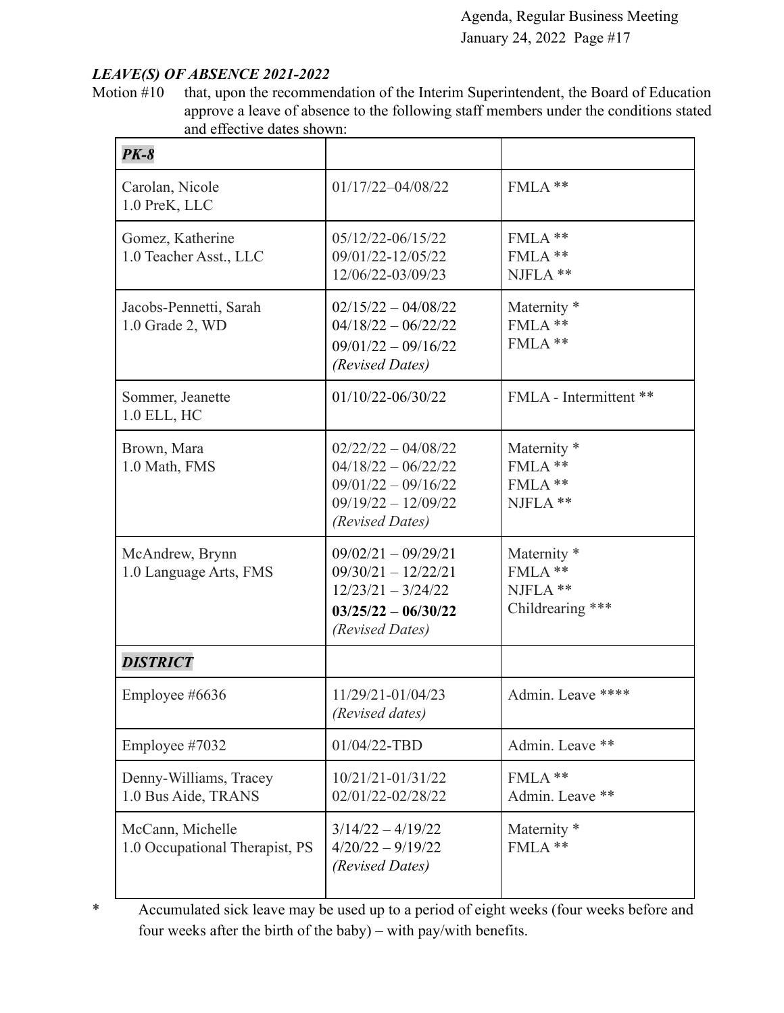#### *LEAVE(S) OF ABSENCE 2021-2022*

Motion #10 that, upon the recommendation of the Interim Superintendent, the Board of Education approve a leave of absence to the following staff members under the conditions stated and effective dates shown:

| $PK-8$                                             |                                                                                                                     |                                                                  |
|----------------------------------------------------|---------------------------------------------------------------------------------------------------------------------|------------------------------------------------------------------|
| Carolan, Nicole<br>1.0 PreK, LLC                   | $01/17/22 - 04/08/22$                                                                                               | FMLA **                                                          |
| Gomez, Katherine<br>1.0 Teacher Asst., LLC         | 05/12/22-06/15/22<br>09/01/22-12/05/22<br>12/06/22-03/09/23                                                         | FMLA **<br>FMLA**<br>NJFLA **                                    |
| Jacobs-Pennetti, Sarah<br>1.0 Grade 2, WD          | $02/15/22 - 04/08/22$<br>$04/18/22 - 06/22/22$<br>$09/01/22 - 09/16/22$<br>(Revised Dates)                          | Maternity <sup>*</sup><br>FMLA**<br>FMLA**                       |
| Sommer, Jeanette<br>1.0 ELL, HC                    | 01/10/22-06/30/22                                                                                                   | FMLA - Intermittent **                                           |
| Brown, Mara<br>1.0 Math, FMS                       | $02/22/22 - 04/08/22$<br>$04/18/22 - 06/22/22$<br>$09/01/22 - 09/16/22$<br>$09/19/22 - 12/09/22$<br>(Revised Dates) | Maternity <sup>*</sup><br>FMLA **<br>FMLA **<br>NJFLA **         |
| McAndrew, Brynn<br>1.0 Language Arts, FMS          | $09/02/21 - 09/29/21$<br>$09/30/21 - 12/22/21$<br>$12/23/21 - 3/24/22$<br>$03/25/22 - 06/30/22$<br>(Revised Dates)  | Maternity <sup>*</sup><br>FMLA**<br>NJFLA **<br>Childrearing *** |
| <b>DISTRICT</b>                                    |                                                                                                                     |                                                                  |
| Employee #6636                                     | 11/29/21-01/04/23<br>(Revised dates)                                                                                | Admin. Leave ****                                                |
| Employee #7032                                     | 01/04/22-TBD                                                                                                        | Admin. Leave **                                                  |
| Denny-Williams, Tracey<br>1.0 Bus Aide, TRANS      | 10/21/21-01/31/22<br>02/01/22-02/28/22                                                                              | FMLA**<br>Admin. Leave **                                        |
| McCann, Michelle<br>1.0 Occupational Therapist, PS | $3/14/22 - 4/19/22$<br>$4/20/22 - 9/19/22$<br>(Revised Dates)                                                       | Maternity <sup>*</sup><br>FMLA**                                 |

\* Accumulated sick leave may be used up to a period of eight weeks (four weeks before and four weeks after the birth of the baby) – with pay/with benefits.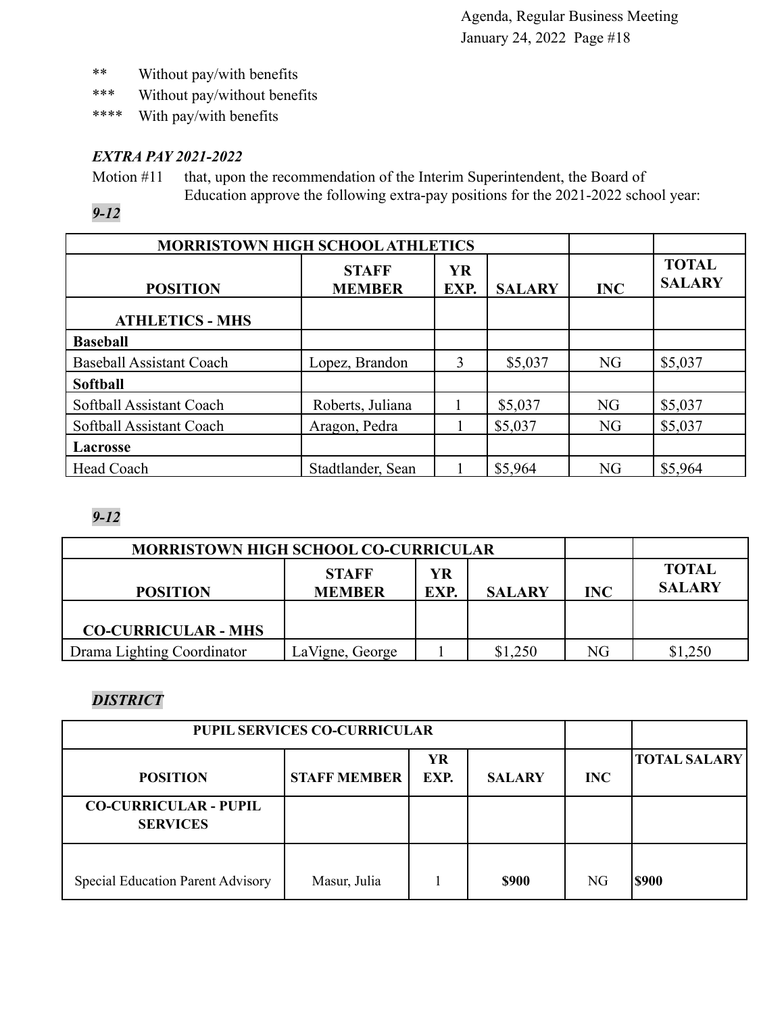- \*\* Without pay/with benefits
- \*\*\* Without pay/without benefits
- \*\*\*\* With pay/with benefits

## *EXTRA PAY 2021-2022*

Motion #11 that, upon the recommendation of the Interim Superintendent, the Board of Education approve the following extra-pay positions for the 2021-2022 school year:

*9-12*

| <b>MORRISTOWN HIGH SCHOOL ATHLETICS</b> |                                                                     |   |         |           |                               |
|-----------------------------------------|---------------------------------------------------------------------|---|---------|-----------|-------------------------------|
| <b>POSITION</b>                         | <b>YR</b><br><b>STAFF</b><br><b>MEMBER</b><br>EXP.<br><b>SALARY</b> |   |         |           | <b>TOTAL</b><br><b>SALARY</b> |
| <b>ATHLETICS - MHS</b>                  |                                                                     |   |         |           |                               |
| <b>Baseball</b>                         |                                                                     |   |         |           |                               |
| <b>Baseball Assistant Coach</b>         | Lopez, Brandon                                                      | 3 | \$5,037 | <b>NG</b> | \$5,037                       |
| <b>Softball</b>                         |                                                                     |   |         |           |                               |
| Softball Assistant Coach                | Roberts, Juliana                                                    |   | \$5,037 | <b>NG</b> | \$5,037                       |
| Softball Assistant Coach                | Aragon, Pedra                                                       |   | \$5,037 | NG        | \$5,037                       |
| <b>Lacrosse</b>                         |                                                                     |   |         |           |                               |
| Head Coach                              | Stadtlander, Sean                                                   |   | \$5,964 | NG        | \$5,964                       |

## *9-12*

| <b>MORRISTOWN HIGH SCHOOL CO-CURRICULAR</b> |                               |            |            |                               |      |
|---------------------------------------------|-------------------------------|------------|------------|-------------------------------|------|
| <b>POSITION</b>                             | <b>STAFF</b><br><b>MEMBER</b> | YR<br>EXP. | <b>INC</b> | <b>TOTAL</b><br><b>SALARY</b> |      |
| <b>CO-CURRICULAR - MHS</b>                  |                               |            |            |                               |      |
| Drama Lighting Coordinator                  | LaVigne, George               |            | \$1,250    | NG                            | .250 |

# *DISTRICT*

| <b>PUPIL SERVICES CO-CURRICULAR</b>             |                     |            |               |                |                     |
|-------------------------------------------------|---------------------|------------|---------------|----------------|---------------------|
| <b>POSITION</b>                                 | <b>STAFF MEMBER</b> | YR<br>EXP. | <b>SALARY</b> | <b>INC</b>     | <b>TOTAL SALARY</b> |
| <b>CO-CURRICULAR - PUPIL</b><br><b>SERVICES</b> |                     |            |               |                |                     |
| <b>Special Education Parent Advisory</b>        | Masur, Julia        |            | <b>\$900</b>  | N <sub>G</sub> | \$900               |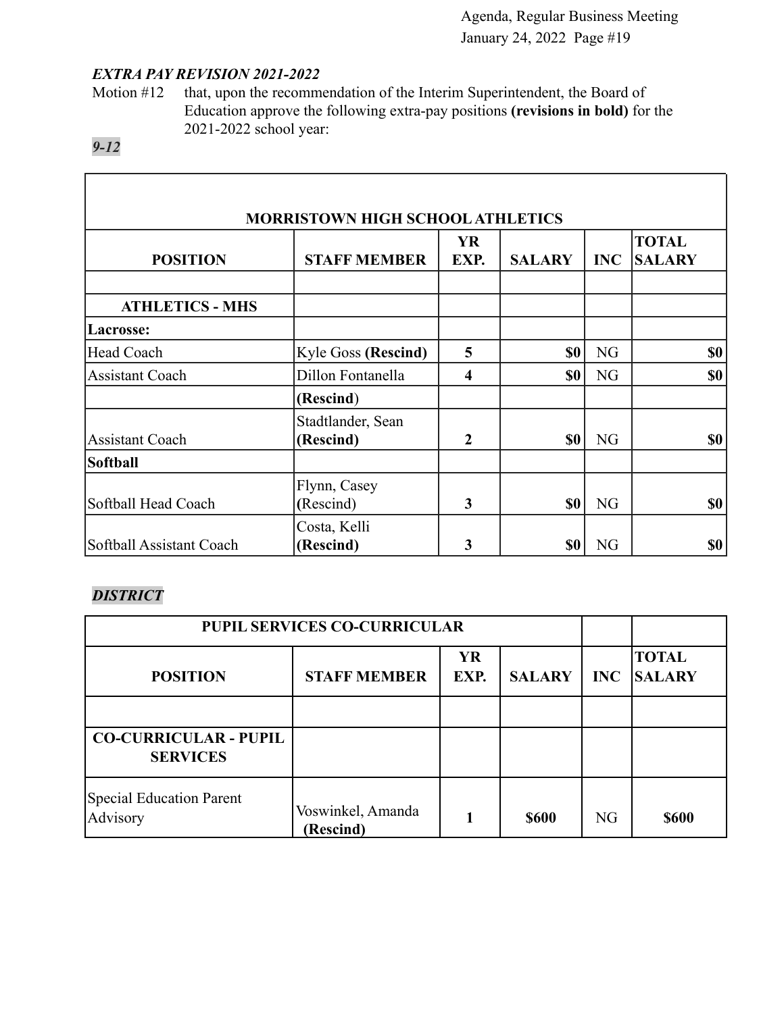ı

## *EXTRA PAY REVISION 2021-2022*

Motion #12 that, upon the recommendation of the Interim Superintendent, the Board of Education approve the following extra-pay positions **(revisions in bold)** for the 2021-2022 school year:

## *9-12*

Г

| <b>MORRISTOWN HIGH SCHOOL ATHLETICS</b> |                                |                         |               |            |                               |  |
|-----------------------------------------|--------------------------------|-------------------------|---------------|------------|-------------------------------|--|
| <b>POSITION</b>                         | <b>STAFF MEMBER</b>            | <b>YR</b><br>EXP.       | <b>SALARY</b> | <b>INC</b> | <b>TOTAL</b><br><b>SALARY</b> |  |
| <b>ATHLETICS - MHS</b>                  |                                |                         |               |            |                               |  |
| Lacrosse:                               |                                |                         |               |            |                               |  |
| Head Coach                              | <b>Kyle Goss (Rescind)</b>     | 5                       | \$0           | NG         | \$0                           |  |
| <b>Assistant Coach</b>                  | Dillon Fontanella              | $\overline{\mathbf{4}}$ | \$0           | NG         | \$0                           |  |
|                                         | (Rescind)                      |                         |               |            |                               |  |
| <b>Assistant Coach</b>                  | Stadtlander, Sean<br>(Rescind) | $\overline{2}$          | \$0           | NG         | \$0                           |  |
| <b>Softball</b>                         |                                |                         |               |            |                               |  |
| Softball Head Coach                     | Flynn, Casey<br>(Rescind)      | 3                       | \$0           | NG         | \$0                           |  |
| Softball Assistant Coach                | Costa, Kelli<br>(Rescind)      | 3                       | \$0           | NG         | \$0                           |  |

# *DISTRICT*

| <b>PUPIL SERVICES CO-CURRICULAR</b>             |                                |                   |               |                |                               |
|-------------------------------------------------|--------------------------------|-------------------|---------------|----------------|-------------------------------|
| <b>POSITION</b>                                 | <b>STAFF MEMBER</b>            | <b>YR</b><br>EXP. | <b>SALARY</b> | <b>INC</b>     | <b>TOTAL</b><br><b>SALARY</b> |
|                                                 |                                |                   |               |                |                               |
| <b>CO-CURRICULAR - PUPIL</b><br><b>SERVICES</b> |                                |                   |               |                |                               |
| Special Education Parent<br>Advisory            | Voswinkel, Amanda<br>(Rescind) |                   | <b>\$600</b>  | N <sub>G</sub> | <b>\$600</b>                  |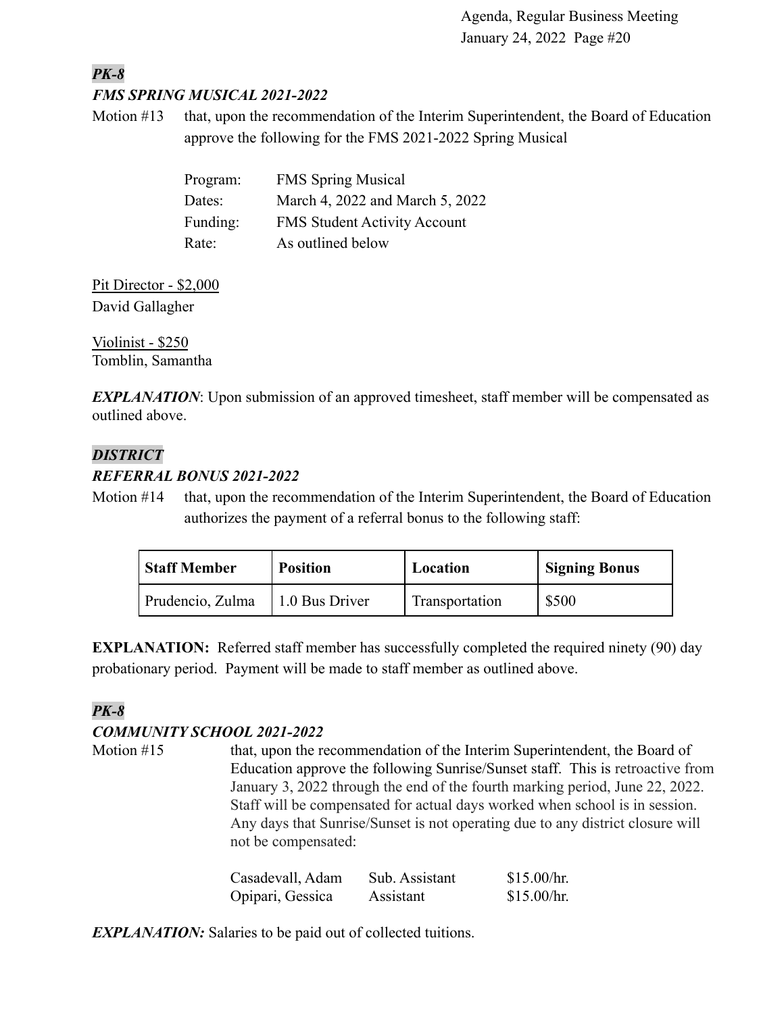#### *PK-8 FMS SPRING MUSICAL 2021-2022*

Motion #13 that, upon the recommendation of the Interim Superintendent, the Board of Education approve the following for the FMS 2021-2022 Spring Musical

| Program: | <b>FMS Spring Musical</b>           |
|----------|-------------------------------------|
| Dates:   | March 4, 2022 and March 5, 2022     |
| Funding: | <b>FMS Student Activity Account</b> |
| Rate:    | As outlined below                   |

Pit Director - \$2,000 David Gallagher

Violinist - \$250 Tomblin, Samantha

**EXPLANATION**: Upon submission of an approved timesheet, staff member will be compensated as outlined above.

#### *DISTRICT*

### *REFERRAL BONUS 2021-2022*

Motion #14 that, upon the recommendation of the Interim Superintendent, the Board of Education authorizes the payment of a referral bonus to the following staff:

| <b>Staff Member</b> | <b>Position</b>        | Location       | <b>Signing Bonus</b> |
|---------------------|------------------------|----------------|----------------------|
| Prudencio, Zulma    | $\vert$ 1.0 Bus Driver | Transportation | \$500                |

**EXPLANATION:** Referred staff member has successfully completed the required ninety (90) day probationary period. Payment will be made to staff member as outlined above.

## *PK-8*

### *COMMUNITY SCHOOL 2021-2022*

Motion #15 that, upon the recommendation of the Interim Superintendent, the Board of Education approve the following Sunrise/Sunset staff. This is retroactive from January 3, 2022 through the end of the fourth marking period, June 22, 2022. Staff will be compensated for actual days worked when school is in session. Any days that Sunrise/Sunset is not operating due to any district closure will not be compensated:

| Casadevall, Adam | Sub. Assistant | \$15.00/hr. |
|------------------|----------------|-------------|
| Opipari, Gessica | Assistant      | \$15.00/hr. |

*EXPLANATION:* Salaries to be paid out of collected tuitions.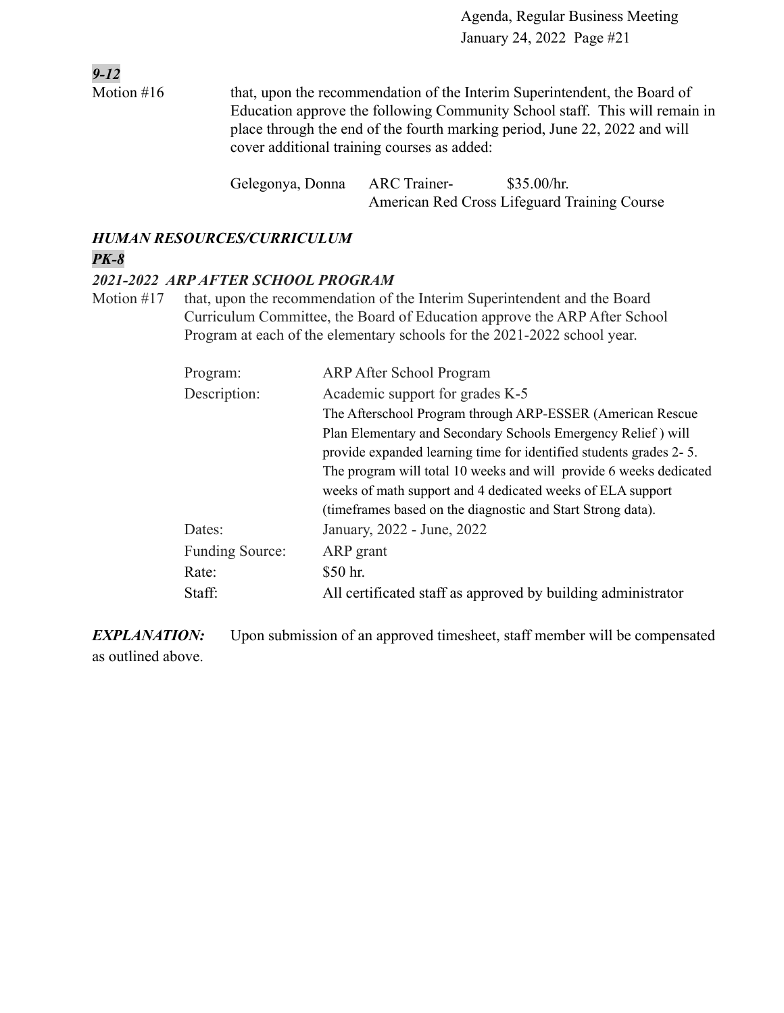*9-12* Motion #16 that, upon the recommendation of the Interim Superintendent, the Board of Education approve the following Community School staff. This will remain in place through the end of the fourth marking period, June 22, 2022 and will cover additional training courses as added:

> Gelegonya, Donna ARC Trainer- \$35.00/hr. American Red Cross Lifeguard Training Course

# *HUMAN RESOURCES/CURRICULUM*

## *PK-8*

#### *2021-2022 ARP AFTER SCHOOL PROGRAM*

Motion #17 that, upon the recommendation of the Interim Superintendent and the Board Curriculum Committee, the Board of Education approve the ARP After School Program at each of the elementary schools for the 2021-2022 school year.

| Program:               | <b>ARP After School Program</b>                                    |
|------------------------|--------------------------------------------------------------------|
| Description:           | Academic support for grades K-5                                    |
|                        | The Afterschool Program through ARP-ESSER (American Rescue)        |
|                        | Plan Elementary and Secondary Schools Emergency Relief) will       |
|                        | provide expanded learning time for identified students grades 2-5. |
|                        | The program will total 10 weeks and will provide 6 weeks dedicated |
|                        | weeks of math support and 4 dedicated weeks of ELA support         |
|                        | (time frames based on the diagnostic and Start Strong data).       |
| Dates:                 | January, 2022 - June, 2022                                         |
| <b>Funding Source:</b> | ARP grant                                                          |
| Rate:                  | \$50 hr.                                                           |
| Staff:                 | All certificated staff as approved by building administrator       |

**EXPLANATION:** Upon submission of an approved timesheet, staff member will be compensated as outlined above.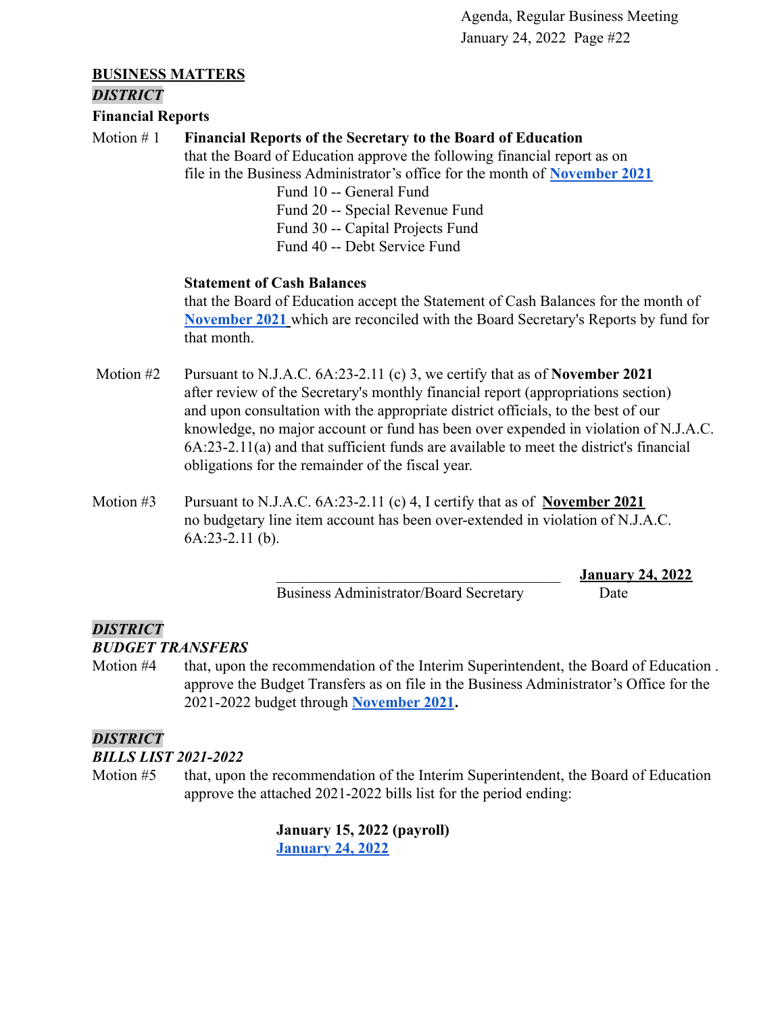#### **BUSINESS MATTERS**

#### *DISTRICT*

**Financial Reports**

#### Motion # 1 **Financial Reports of the Secretary to the Board of Education**

that the Board of Education approve the following financial report as on file in the Business Administrator's office for the month of **[November 2021](https://drive.google.com/file/d/1c_UJQJkaAjxlU2bsRuaCV4UdGBdiSz4h/view?usp=sharing)**

Fund 10 -- General Fund Fund 20 -- Special Revenue Fund Fund 30 -- Capital Projects Fund Fund 40 -- Debt Service Fund

#### **Statement of Cash Balances**

that the Board of Education accept the Statement of Cash Balances for the month of **[November 2021](https://drive.google.com/file/d/13VIeqpCK1c_9GQqxIS12bamtmmq1aMgs/view?usp=sharing)** which are reconciled with the Board Secretary's Reports by fund for that month.

- Motion #2 Pursuant to N.J.A.C. 6A:23-2.11 (c) 3, we certify that as of **November 2021** after review of the Secretary's monthly financial report (appropriations section) and upon consultation with the appropriate district officials, to the best of our knowledge, no major account or fund has been over expended in violation of N.J.A.C. 6A:23-2.11(a) and that sufficient funds are available to meet the district's financial obligations for the remainder of the fiscal year.
- Motion #3 Pursuant to N.J.A.C. 6A:23-2.11 (c) 4, I certify that as of **November 2021** no budgetary line item account has been over-extended in violation of N.J.A.C. 6A:23-2.11 (b).

Business Administrator/Board Secretary Date

\_\_\_\_\_\_\_\_\_\_\_\_\_\_\_\_\_\_\_\_\_\_\_\_\_\_\_\_\_\_\_\_\_\_\_\_\_ **January 24, 2022**

# *DISTRICT*

*BUDGET TRANSFERS*

Motion #4 that, upon the recommendation of the Interim Superintendent, the Board of Education . approve the Budget Transfers as on file in the Business Administrator's Office for the 2021-2022 budget through **[November 2021](https://drive.google.com/file/d/1SN4mzrEraBStQcUtoxxk3URZ4tc2S3Lm/view?usp=sharing).**

### *DISTRICT*

*BILLS LIST 2021-2022*

Motion #5 that, upon the recommendation of the Interim Superintendent, the Board of Education approve the attached 2021-2022 bills list for the period ending:

> **January 15, 2022 (payroll) [January 24, 2022](https://drive.google.com/file/d/129fJ_wCtYt7x0F3OpLzEopWb2a-uV746/view?usp=sharing)**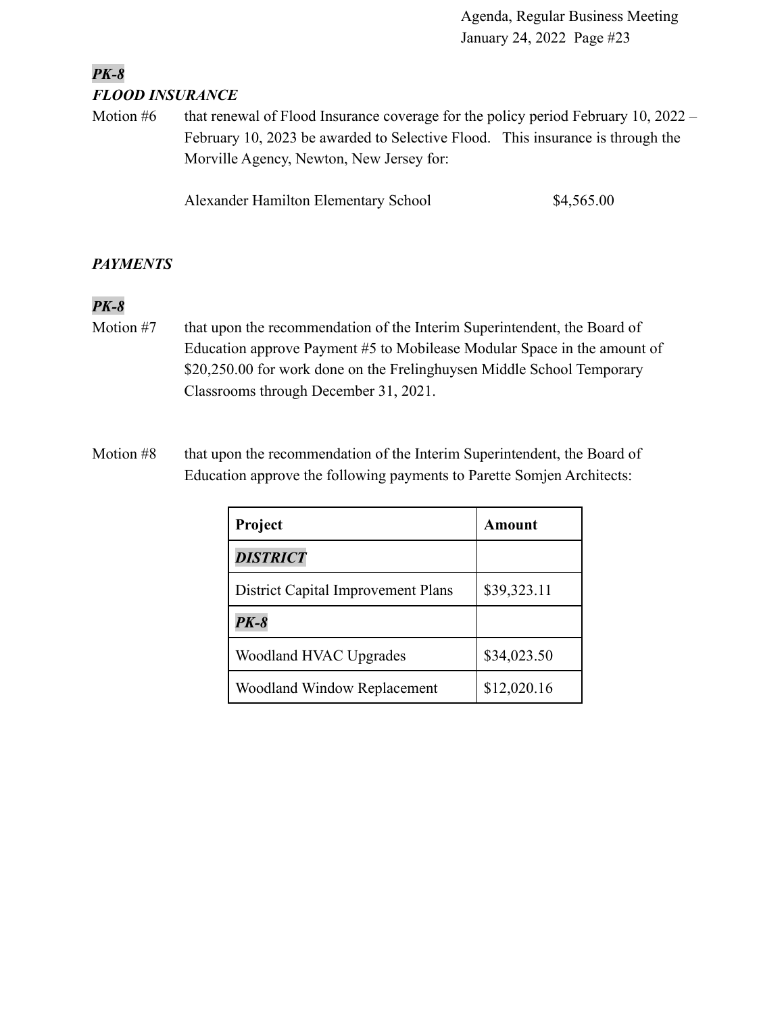## *PK-8 FLOOD INSURANCE*

Motion  $#6$  that renewal of Flood Insurance coverage for the policy period February 10, 2022 – February 10, 2023 be awarded to Selective Flood. This insurance is through the Morville Agency, Newton, New Jersey for:

Alexander Hamilton Elementary School \$4,565.00

#### *PAYMENTS*

### *PK-8*

- Motion #7 that upon the recommendation of the Interim Superintendent, the Board of Education approve Payment #5 to Mobilease Modular Space in the amount of \$20,250.00 for work done on the Frelinghuysen Middle School Temporary Classrooms through December 31, 2021.
- Motion #8 that upon the recommendation of the Interim Superintendent, the Board of Education approve the following payments to Parette Somjen Architects:

| Project                                   | Amount      |
|-------------------------------------------|-------------|
| <b>DISTRICT</b>                           |             |
| <b>District Capital Improvement Plans</b> | \$39,323.11 |
| <b>PK-8</b>                               |             |
| Woodland HVAC Upgrades                    | \$34,023.50 |
| <b>Woodland Window Replacement</b>        | \$12,020.16 |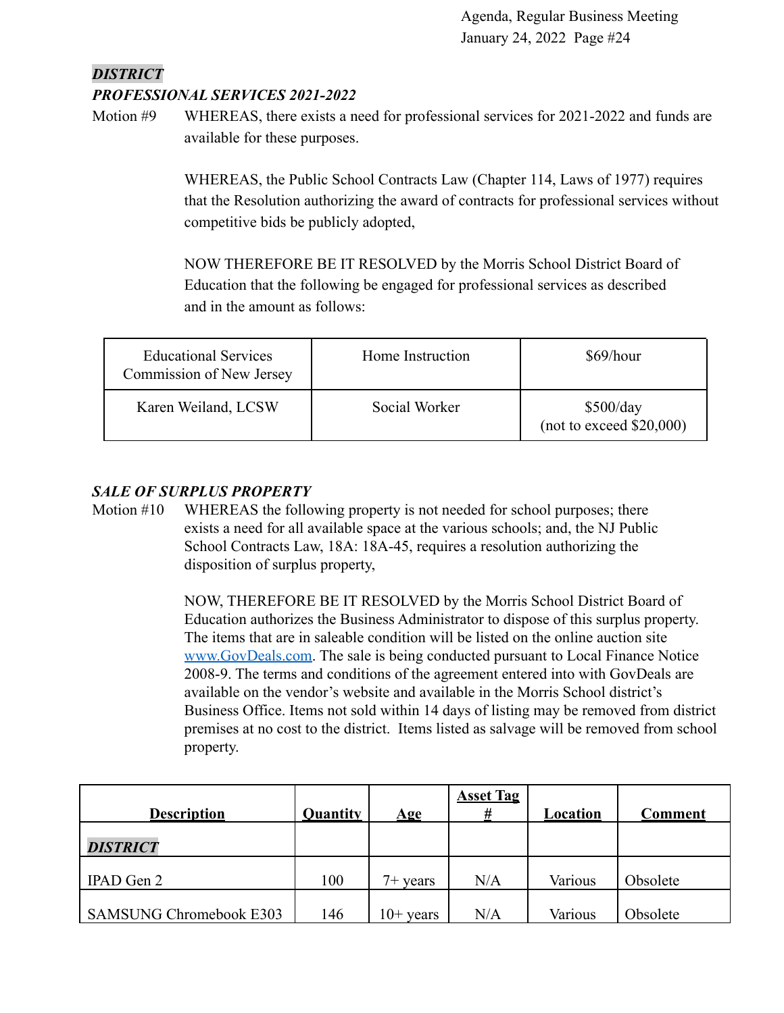## *DISTRICT PROFESSIONAL SERVICES 2021-2022*

Motion #9 WHEREAS, there exists a need for professional services for 2021-2022 and funds are available for these purposes.

> WHEREAS, the Public School Contracts Law (Chapter 114, Laws of 1977) requires that the Resolution authorizing the award of contracts for professional services without competitive bids be publicly adopted,

NOW THEREFORE BE IT RESOLVED by the Morris School District Board of Education that the following be engaged for professional services as described and in the amount as follows:

| <b>Educational Services</b><br>Commission of New Jersey | Home Instruction | \$69/hour                             |
|---------------------------------------------------------|------------------|---------------------------------------|
| Karen Weiland, LCSW                                     | Social Worker    | \$500/day<br>(not to exceed \$20,000) |

#### *SALE OF SURPLUS PROPERTY*

Motion #10 WHEREAS the following property is not needed for school purposes; there exists a need for all available space at the various schools; and, the NJ Public School Contracts Law, 18A: 18A-45, requires a resolution authorizing the disposition of surplus property,

> NOW, THEREFORE BE IT RESOLVED by the Morris School District Board of Education authorizes the Business Administrator to dispose of this surplus property. The items that are in saleable condition will be listed on the online auction site [www.GovDeals.com.](http://www.govdeals.com) The sale is being conducted pursuant to Local Finance Notice 2008-9. The terms and conditions of the agreement entered into with GovDeals are available on the vendor's website and available in the Morris School district's Business Office. Items not sold within 14 days of listing may be removed from district premises at no cost to the district. Items listed as salvage will be removed from school property.

| <b>Description</b>             | Quantity | $\mathbf{Age}$ | <b>Asset Tag</b><br># | Location | <b>Comment</b> |
|--------------------------------|----------|----------------|-----------------------|----------|----------------|
| <b>DISTRICT</b>                |          |                |                       |          |                |
| IPAD Gen 2                     | 100      | $7+$ years     | N/A                   | Various  | Obsolete       |
| <b>SAMSUNG Chromebook E303</b> | 146      | $10+$ years    | N/A                   | Various  | Obsolete       |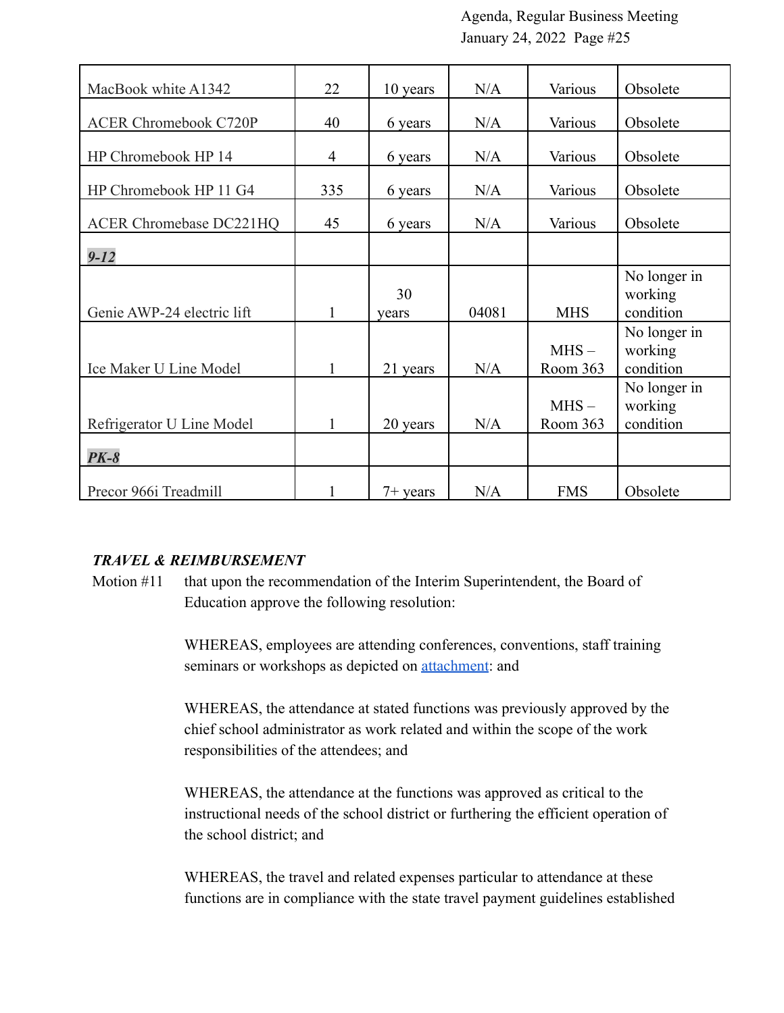| MacBook white A1342            | 22             | 10 years    | N/A   | Various             | Obsolete                             |
|--------------------------------|----------------|-------------|-------|---------------------|--------------------------------------|
| <b>ACER Chromebook C720P</b>   | 40             | 6 years     | N/A   | Various             | Obsolete                             |
| HP Chromebook HP 14            | $\overline{4}$ | 6 years     | N/A   | Various             | Obsolete                             |
| HP Chromebook HP 11 G4         | 335            | 6 years     | N/A   | Various             | Obsolete                             |
| <b>ACER Chromebase DC221HQ</b> | 45             | 6 years     | N/A   | Various             | Obsolete                             |
| $9 - 12$                       |                |             |       |                     |                                      |
| Genie AWP-24 electric lift     | 1              | 30<br>years | 04081 | <b>MHS</b>          | No longer in<br>working<br>condition |
| Ice Maker U Line Model         | 1              | 21 years    | N/A   | $MHS -$<br>Room 363 | No longer in<br>working<br>condition |
| Refrigerator U Line Model      | 1              | 20 years    | N/A   | $MHS -$<br>Room 363 | No longer in<br>working<br>condition |
| $PK-8$                         |                |             |       |                     |                                      |
| Precor 966i Treadmill          |                | $7+$ years  | N/A   | <b>FMS</b>          | Obsolete                             |

#### *TRAVEL & REIMBURSEMENT*

Motion #11 that upon the recommendation of the Interim Superintendent, the Board of Education approve the following resolution:

> WHEREAS, employees are attending conferences, conventions, staff training seminars or workshops as depicted on **attachment**: and

WHEREAS, the attendance at stated functions was previously approved by the chief school administrator as work related and within the scope of the work responsibilities of the attendees; and

WHEREAS, the attendance at the functions was approved as critical to the instructional needs of the school district or furthering the efficient operation of the school district; and

WHEREAS, the travel and related expenses particular to attendance at these functions are in compliance with the state travel payment guidelines established